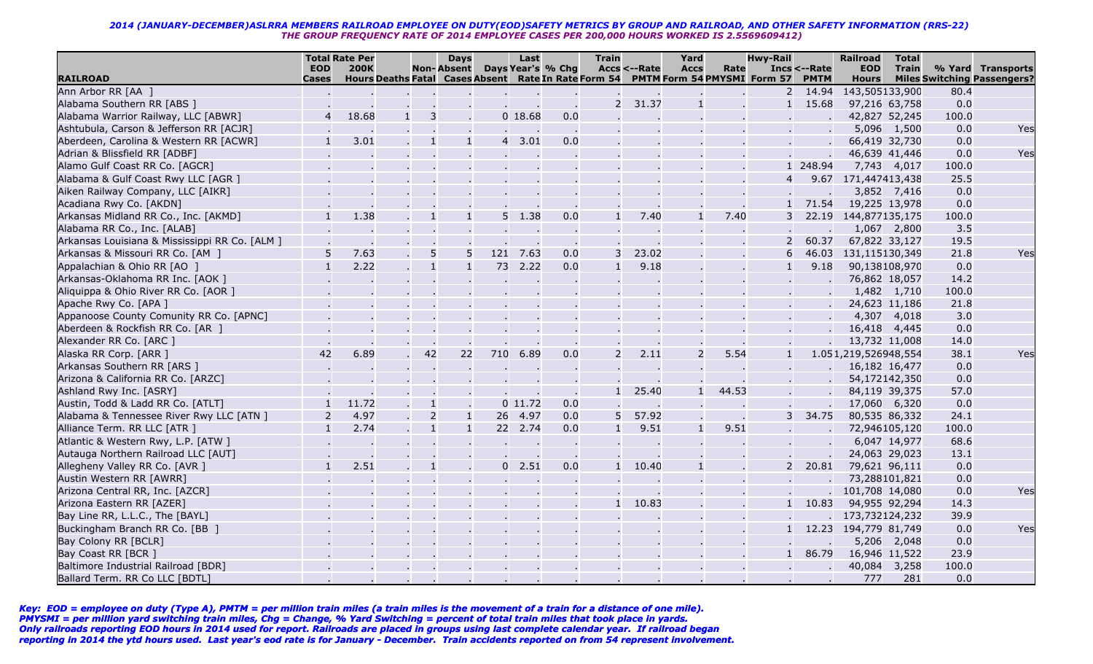|                                                |                            | <b>Total Rate Per</b> |                                                                                  | <b>Days</b>       |          | Last      |                   | <b>Train</b>   |                        | Yard           |       | Hwy-Rail       |                             | <b>Railroad</b>            | <b>Total</b> |       |                                                         |
|------------------------------------------------|----------------------------|-----------------------|----------------------------------------------------------------------------------|-------------------|----------|-----------|-------------------|----------------|------------------------|----------------|-------|----------------|-----------------------------|----------------------------|--------------|-------|---------------------------------------------------------|
| <b>RAILROAD</b>                                | <b>EOD</b><br><b>Cases</b> | <b>200K</b>           | Hours Deaths Fatal Cases Absent Rate In Rate Form 54 PMTM Form 54 PMYSMI Form 57 | <b>Non-Absent</b> |          |           | Days Year's % Chg |                | <b>Accs &lt;--Rate</b> | <b>Accs</b>    | Rate  |                | Incs <--Rate<br><b>PMTM</b> | <b>EOD</b><br><b>Hours</b> | <b>Train</b> |       | % Yard Transports<br><b>Miles Switching Passengers?</b> |
| Ann Arbor RR [AA ]                             |                            |                       |                                                                                  |                   |          |           |                   |                |                        |                |       | $\overline{2}$ | 14.94                       | 143,505133,900             |              | 80.4  |                                                         |
| Alabama Southern RR [ABS ]                     |                            |                       |                                                                                  |                   |          |           |                   | $\overline{2}$ | 31.37                  |                |       |                | 15.68                       | 97,216 63,758              |              | 0.0   |                                                         |
| Alabama Warrior Railway, LLC [ABWR]            |                            | 18.68                 | 3<br>1 <sup>1</sup>                                                              |                   |          | 018.68    | 0.0               |                |                        |                |       |                |                             | 42,827 52,245              |              | 100.0 |                                                         |
| Ashtubula, Carson & Jefferson RR [ACJR]        |                            |                       |                                                                                  |                   |          |           | $\sim$            |                |                        |                |       |                |                             | 5,096                      | 1,500        | 0.0   | Yes                                                     |
| Aberdeen, Carolina & Western RR [ACWR]         |                            | 3.01                  | $\mathbf{1}$                                                                     | $\mathbf{1}$      |          | 3.01      | 0.0               |                |                        |                |       |                |                             | 66,419 32,730              |              | 0.0   |                                                         |
| Adrian & Blissfield RR [ADBF]                  |                            |                       |                                                                                  |                   |          |           |                   |                |                        |                |       |                |                             | 46,639 41,446              |              | 0.0   | Yes                                                     |
| Alamo Gulf Coast RR Co. [AGCR]                 |                            |                       |                                                                                  |                   |          |           |                   |                |                        |                |       |                | 1 248.94                    | 7,743 4,017                |              | 100.0 |                                                         |
| Alabama & Gulf Coast Rwy LLC [AGR ]            |                            |                       |                                                                                  |                   |          |           |                   |                |                        |                |       |                | 9.67                        | 171,447413,438             |              | 25.5  |                                                         |
| Aiken Railway Company, LLC [AIKR]              |                            |                       |                                                                                  |                   |          |           |                   |                |                        |                |       |                |                             |                            | 3,852 7,416  | 0.0   |                                                         |
| Acadiana Rwy Co. [AKDN]                        |                            |                       |                                                                                  |                   |          |           |                   |                |                        |                |       |                | 71.54                       | 19,225 13,978              |              | 0.0   |                                                         |
| Arkansas Midland RR Co., Inc. [AKMD]           |                            | 1.38                  | $\mathbf{1}$                                                                     | $\mathbf{1}$      | 5        | 1.38      | 0.0               |                | 7.40                   |                | 7.40  |                | 22.19                       | 144,877135,175             |              | 100.0 |                                                         |
| Alabama RR Co., Inc. [ALAB]                    |                            |                       |                                                                                  |                   |          |           | $\sim 100$        |                |                        |                |       |                |                             |                            | 1,067 2,800  | 3.5   |                                                         |
| Arkansas Louisiana & Mississippi RR Co. [ALM ] |                            |                       |                                                                                  |                   |          |           |                   |                |                        |                |       |                | 60.37                       | 67,822 33,127              |              | 19.5  |                                                         |
| Arkansas & Missouri RR Co. [AM ]               |                            | 7.63                  | 5                                                                                | 5                 |          | 121 7.63  | 0.0               |                | 23.02                  |                |       |                | 46.03                       | 131,115130,349             |              | 21.8  | Yes                                                     |
| Appalachian & Ohio RR [AO ]                    |                            | 2.22                  | $\mathbf{1}$                                                                     |                   | 73       | 2.22      | 0.0               |                | 9.18                   |                |       |                | 9.18                        | 90,138108,970              |              | 0.0   |                                                         |
| Arkansas-Oklahoma RR Inc. [AOK ]               |                            |                       |                                                                                  |                   |          |           |                   |                |                        |                |       |                |                             | 76,862 18,057              |              | 14.2  |                                                         |
| Aliquippa & Ohio River RR Co. [AOR ]           |                            |                       |                                                                                  |                   |          |           |                   |                |                        |                |       |                |                             | 1,482 1,710                |              | 100.0 |                                                         |
| Apache Rwy Co. [APA ]                          |                            |                       |                                                                                  |                   |          |           |                   |                |                        |                |       |                |                             | 24,623 11,186              |              | 21.8  |                                                         |
| Appanoose County Comunity RR Co. [APNC]        |                            |                       |                                                                                  |                   |          |           |                   |                |                        |                |       |                |                             | 4,307                      | 4,018        | 3.0   |                                                         |
| Aberdeen & Rockfish RR Co. [AR ]               |                            |                       |                                                                                  |                   |          |           |                   |                |                        |                |       |                |                             | 16,418                     | 4,445        | 0.0   |                                                         |
| Alexander RR Co. [ARC ]                        |                            |                       |                                                                                  |                   |          |           |                   |                |                        |                |       |                |                             | 13,732 11,008              |              | 14.0  |                                                         |
| Alaska RR Corp. [ARR ]                         | 42                         | 6.89                  | 42                                                                               | 22                | 710      | 6.89      | 0.0               | $\overline{2}$ | 2.11                   | $\overline{2}$ | 5.54  |                |                             | 1.051,219,526948,554       |              | 38.1  | Yes                                                     |
| Arkansas Southern RR [ARS ]                    |                            |                       |                                                                                  |                   |          |           |                   |                |                        |                |       |                |                             | 16,182 16,477              |              | 0.0   |                                                         |
| Arizona & California RR Co. [ARZC]             |                            |                       |                                                                                  |                   |          |           |                   |                |                        |                |       |                |                             | 54,172142,350              |              | 0.0   |                                                         |
| Ashland Rwy Inc. [ASRY]                        |                            |                       |                                                                                  |                   |          |           |                   |                | 25.40                  |                | 44.53 |                |                             | 84,119 39,375              |              | 57.0  |                                                         |
| Austin, Todd & Ladd RR Co. [ATLT]              |                            | 11.72                 | $\mathbf{1}$                                                                     |                   |          | $0$ 11.72 | 0.0               |                |                        |                |       |                |                             | 17,060 6,320               |              | 0.0   |                                                         |
| Alabama & Tennessee River Rwy LLC [ATN ]       | $\overline{2}$             | 4.97                  | $\overline{2}$                                                                   | $\mathbf{1}$      | 26       | 4.97      | 0.0               | 5              | 57.92                  |                |       | 3              | 34.75                       | 80,535 86,332              |              | 24.1  |                                                         |
| Alliance Term. RR LLC [ATR ]                   |                            | 2.74                  | $\mathbf{1}$                                                                     | $\overline{1}$    |          | 22 2.74   | 0.0               |                | 9.51                   | $\mathbf{1}$   | 9.51  |                |                             | 72,946105,120              |              | 100.0 |                                                         |
| Atlantic & Western Rwy, L.P. [ATW ]            |                            |                       |                                                                                  |                   |          |           | $\sim$ $\sim$     |                |                        |                |       |                |                             |                            | 6,047 14,977 | 68.6  |                                                         |
| Autauga Northern Railroad LLC [AUT]            |                            |                       |                                                                                  |                   |          |           |                   |                |                        |                |       |                |                             | 24,063 29,023              |              | 13.1  |                                                         |
| Allegheny Valley RR Co. [AVR ]                 |                            | 2.51                  | $\overline{1}$                                                                   |                   | $\Omega$ | 2.51      | 0.0               | $1 \quad$      | 10.40                  |                |       |                | 20.81                       | 79,621 96,111              |              | 0.0   |                                                         |
| Austin Western RR [AWRR]                       |                            |                       |                                                                                  |                   |          |           |                   |                |                        |                |       |                |                             | 73,288101,821              |              | 0.0   |                                                         |
| Arizona Central RR, Inc. [AZCR]                |                            |                       |                                                                                  |                   |          |           |                   |                |                        |                |       |                |                             | 101,708 14,080             |              | 0.0   | Yes                                                     |
| Arizona Eastern RR [AZER]                      |                            |                       |                                                                                  |                   |          |           |                   |                | 10.83                  |                |       |                | 10.83                       | 94,955 92,294              |              | 14.3  |                                                         |
| Bay Line RR, L.L.C., The [BAYL]                |                            |                       |                                                                                  |                   |          |           |                   |                |                        |                |       |                |                             | 173,732124,232             |              | 39.9  |                                                         |
| Buckingham Branch RR Co. [BB ]                 |                            |                       |                                                                                  |                   |          |           |                   |                |                        |                |       |                |                             | 12.23 194,779 81,749       |              | 0.0   | Yes                                                     |
| Bay Colony RR [BCLR]                           |                            |                       |                                                                                  |                   |          |           |                   |                |                        |                |       |                |                             | 5,206                      | 2,048        | 0.0   |                                                         |
| Bay Coast RR [BCR ]                            |                            |                       |                                                                                  |                   |          |           |                   |                |                        |                |       |                | 86.79                       | 16,946                     | 11,522       | 23.9  |                                                         |
| Baltimore Industrial Railroad [BDR]            |                            |                       |                                                                                  |                   |          |           |                   |                |                        |                |       |                |                             | 40,084                     | 3,258        | 100.0 |                                                         |
| Ballard Term. RR Co LLC [BDTL]                 |                            |                       |                                                                                  |                   |          |           |                   |                |                        |                |       |                |                             | 777                        | 281          | 0.0   |                                                         |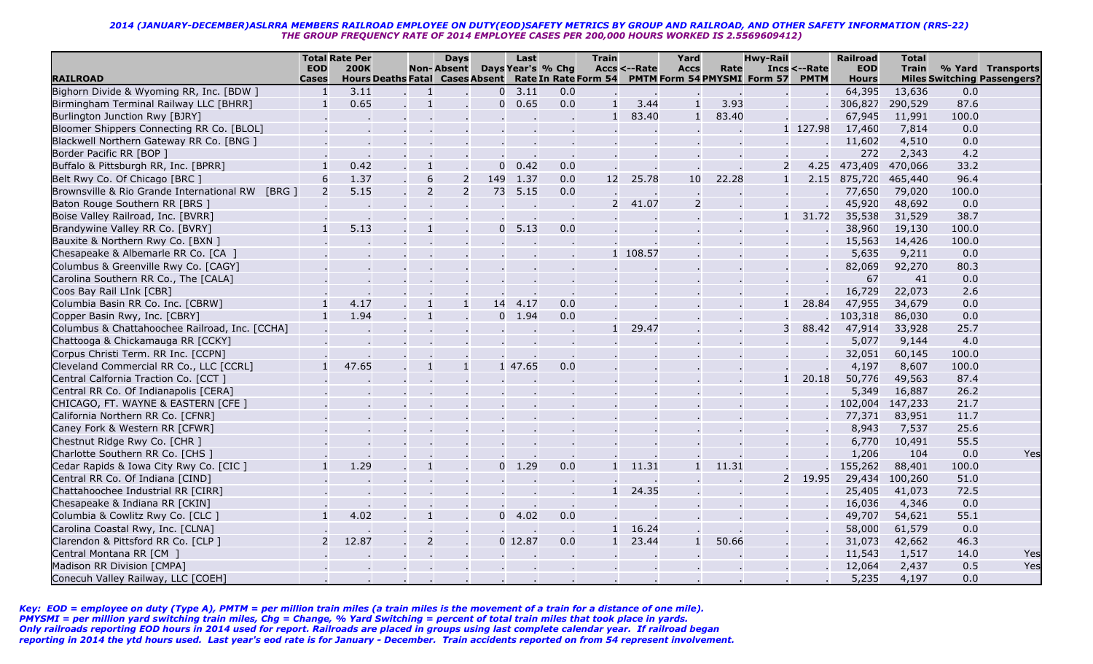|                                                  |                | <b>Total Rate Per</b>                                |                | <b>Days</b>       |                | Last      |                   | <b>Train</b>  |                 | Yard           |       | <b>Hwy-Rail</b>                  |              | <b>Railroad</b> | <b>Total</b> |       |                                    |
|--------------------------------------------------|----------------|------------------------------------------------------|----------------|-------------------|----------------|-----------|-------------------|---------------|-----------------|----------------|-------|----------------------------------|--------------|-----------------|--------------|-------|------------------------------------|
|                                                  | <b>EOD</b>     | <b>200K</b>                                          |                | <b>Non-Absent</b> |                |           | Days Year's % Chg |               | Accs <--Rate    | <b>Accs</b>    | Rate  |                                  | Incs <--Rate | <b>EOD</b>      | <b>Train</b> |       | % Yard Transports                  |
| <b>RAILROAD</b>                                  | <b>Cases</b>   | Hours Deaths Fatal Cases Absent Rate In Rate Form 54 |                |                   |                |           |                   |               |                 |                |       | PMTM Form 54 PMYSMI Form 57 PMTM |              | <b>Hours</b>    |              |       | <b>Miles Switching Passengers?</b> |
| Bighorn Divide & Wyoming RR, Inc. [BDW ]         | $\overline{1}$ | 3.11                                                 | $\mathbf{1}$   |                   | $\Omega$       | 3.11      | 0.0               |               |                 |                |       |                                  |              | 64,395          | 13,636       | 0.0   |                                    |
| Birmingham Terminal Railway LLC [BHRR]           |                | 0.65                                                 | $\overline{1}$ |                   | $\Omega$       | 0.65      | 0.0               | $\mathbf{1}$  | 3.44            | $\mathbf{1}$   | 3.93  |                                  |              | 306,827         | 290,529      | 87.6  |                                    |
| Burlington Junction Rwy [BJRY]                   |                |                                                      |                |                   |                |           |                   | $\mathbf{1}$  | 83.40           | $\mathbf{1}$   | 83.40 |                                  |              | 67,945          | 11,991       | 100.0 |                                    |
| Bloomer Shippers Connecting RR Co. [BLOL]        |                |                                                      |                |                   |                |           |                   |               |                 |                |       |                                  | 1 127.98     | 17,460          | 7,814        | 0.0   |                                    |
| Blackwell Northern Gateway RR Co. [BNG ]         |                |                                                      |                |                   |                |           |                   |               |                 |                |       |                                  |              | 11,602          | 4,510        | 0.0   |                                    |
| Border Pacific RR [BOP ]                         |                |                                                      |                |                   |                |           |                   |               |                 |                |       |                                  |              | 272             | 2,343        | 4.2   |                                    |
| Buffalo & Pittsburgh RR, Inc. [BPRR]             |                | 0.42                                                 | $\mathbf{1}$   |                   | $\overline{0}$ | 0.42      | 0.0               |               |                 |                |       |                                  | 4.25         | 473,409         | 470,066      | 33.2  |                                    |
| Belt Rwy Co. Of Chicago [BRC ]                   |                | 1.37                                                 | 6              | 2                 | 149            | 1.37      | 0.0               | 12            | 25.78           | 10             | 22.28 | $\mathbf{1}$                     | 2.15         | 875,720         | 465,440      | 96.4  |                                    |
| Brownsville & Rio Grande International RW [BRG ] |                | 5.15                                                 | $\overline{2}$ | $\overline{2}$    | 73             | 5.15      | 0.0               |               |                 |                |       |                                  |              | 77,650          | 79,020       | 100.0 |                                    |
| Baton Rouge Southern RR [BRS ]                   |                |                                                      |                |                   |                |           |                   | $\mathcal{P}$ | 41.07           | $\overline{2}$ |       |                                  |              | 45,920          | 48,692       | 0.0   |                                    |
| Boise Valley Railroad, Inc. [BVRR]               |                |                                                      |                |                   |                |           |                   |               |                 |                |       |                                  | 31.72        | 35,538          | 31,529       | 38.7  |                                    |
| Brandywine Valley RR Co. [BVRY]                  |                | 5.13                                                 |                |                   | $\mathbf{0}$   | 5.13      | 0.0               |               |                 |                |       |                                  |              | 38,960          | 19,130       | 100.0 |                                    |
| Bauxite & Northern Rwy Co. [BXN ]                |                |                                                      |                |                   |                |           |                   |               |                 |                |       |                                  |              | 15,563          | 14,426       | 100.0 |                                    |
| Chesapeake & Albemarle RR Co. [CA ]              |                |                                                      |                |                   |                |           |                   |               | 1 108.57        |                |       |                                  |              | 5,635           | 9,211        | 0.0   |                                    |
| Columbus & Greenville Rwy Co. [CAGY]             |                |                                                      |                |                   |                |           |                   |               |                 |                |       |                                  |              | 82,069          | 92,270       | 80.3  |                                    |
| Carolina Southern RR Co., The [CALA]             |                |                                                      |                |                   |                |           |                   |               |                 |                |       |                                  |              | 67              | 41           | 0.0   |                                    |
| Coos Bay Rail LInk [CBR]                         |                |                                                      |                |                   |                |           |                   |               |                 |                |       |                                  |              | 16,729          | 22,073       | 2.6   |                                    |
| Columbia Basin RR Co. Inc. [CBRW]                |                | 4.17                                                 |                | $\overline{1}$    | 14             | 4.17      | 0.0               |               |                 |                |       |                                  | 28.84        | 47,955          | 34,679       | 0.0   |                                    |
| Copper Basin Rwy, Inc. [CBRY]                    |                | 1.94                                                 | $\mathbf{1}$   |                   | $\Omega$       | 1.94      | 0.0               |               |                 |                |       |                                  |              | 103,318         | 86,030       | 0.0   |                                    |
| Columbus & Chattahoochee Railroad, Inc. [CCHA]   |                |                                                      |                |                   |                |           |                   | $\mathbf{1}$  | 29.47           |                |       | 3                                | 88.42        | 47,914          | 33,928       | 25.7  |                                    |
| Chattooga & Chickamauga RR [CCKY]                |                |                                                      |                |                   |                |           |                   |               |                 |                |       |                                  |              | 5,077           | 9,144        | 4.0   |                                    |
| Corpus Christi Term. RR Inc. [CCPN]              |                |                                                      |                |                   |                |           |                   |               |                 |                |       |                                  |              | 32,051          | 60,145       | 100.0 |                                    |
| Cleveland Commercial RR Co., LLC [CCRL]          |                | 47.65                                                |                | $\mathbf{1}$      |                | 1 47.65   | 0.0               |               |                 |                |       |                                  |              | 4,197           | 8,607        | 100.0 |                                    |
| Central Calfornia Traction Co. [CCT]             |                |                                                      |                |                   |                |           |                   |               |                 |                |       |                                  | 20.18        | 50,776          | 49,563       | 87.4  |                                    |
| Central RR Co. Of Indianapolis [CERA]            |                |                                                      |                |                   |                |           |                   |               |                 |                |       |                                  |              | 5,349           | 16,887       | 26.2  |                                    |
| CHICAGO, FT. WAYNE & EASTERN [CFE ]              |                |                                                      |                |                   |                |           |                   |               |                 |                |       |                                  |              | 102,004         | 147,233      | 21.7  |                                    |
| California Northern RR Co. [CFNR]                |                |                                                      |                |                   |                |           |                   |               |                 |                |       |                                  |              | 77,371          | 83,951       | 11.7  |                                    |
| Caney Fork & Western RR [CFWR]                   |                |                                                      |                |                   |                |           |                   |               |                 |                |       |                                  |              | 8,943           | 7,537        | 25.6  |                                    |
| Chestnut Ridge Rwy Co. [CHR ]                    |                |                                                      |                |                   |                |           |                   |               |                 |                |       |                                  |              | 6,770           | 10,491       | 55.5  |                                    |
| Charlotte Southern RR Co. [CHS ]                 |                |                                                      |                |                   |                |           |                   |               |                 |                |       |                                  |              | 1,206           | 104          | 0.0   | Yes                                |
| Cedar Rapids & Iowa City Rwy Co. [CIC ]          |                | 1.29                                                 | $\mathbf{1}$   |                   | $\Omega$       | 1.29      | 0.0               |               | $1 \quad 11.31$ |                | 11.31 |                                  |              | 155,262         | 88,401       | 100.0 |                                    |
| Central RR Co. Of Indiana [CIND]                 |                |                                                      |                |                   |                |           |                   |               |                 |                |       | $\overline{2}$                   | 19.95        | 29,434          | 100,260      | 51.0  |                                    |
| Chattahoochee Industrial RR [CIRR]               |                |                                                      |                |                   |                |           |                   | $\mathbf{1}$  | 24.35           |                |       |                                  |              | 25,405          | 41,073       | 72.5  |                                    |
| Chesapeake & Indiana RR [CKIN]                   |                |                                                      |                |                   |                |           |                   |               |                 |                |       |                                  |              | 16,036          | 4,346        | 0.0   |                                    |
| Columbia & Cowlitz Rwy Co. [CLC ]                |                | 4.02                                                 |                |                   | $\Omega$       | 4.02      | 0.0               |               |                 |                |       |                                  |              | 49,707          | 54,621       | 55.1  |                                    |
| Carolina Coastal Rwy, Inc. [CLNA]                |                |                                                      |                |                   |                |           |                   | $\mathbf{1}$  | 16.24           |                |       |                                  |              | 58,000          | 61,579       | 0.0   |                                    |
| Clarendon & Pittsford RR Co. [CLP ]              |                | 12.87                                                | $\overline{2}$ |                   |                | $0$ 12.87 | 0.0               | $\mathbf{1}$  | 23.44           |                | 50.66 |                                  |              | 31,073          | 42,662       | 46.3  |                                    |
| Central Montana RR [CM ]                         |                |                                                      |                |                   |                |           |                   |               |                 |                |       |                                  |              | 11,543          | 1,517        | 14.0  | Yes                                |
| Madison RR Division [CMPA]                       |                |                                                      |                |                   |                |           |                   |               |                 |                |       |                                  |              | 12,064          | 2,437        | 0.5   | Yes                                |
| Conecuh Valley Railway, LLC [COEH]               |                |                                                      |                |                   |                |           |                   |               |                 |                |       |                                  |              | 5,235           | 4,197        | 0.0   |                                    |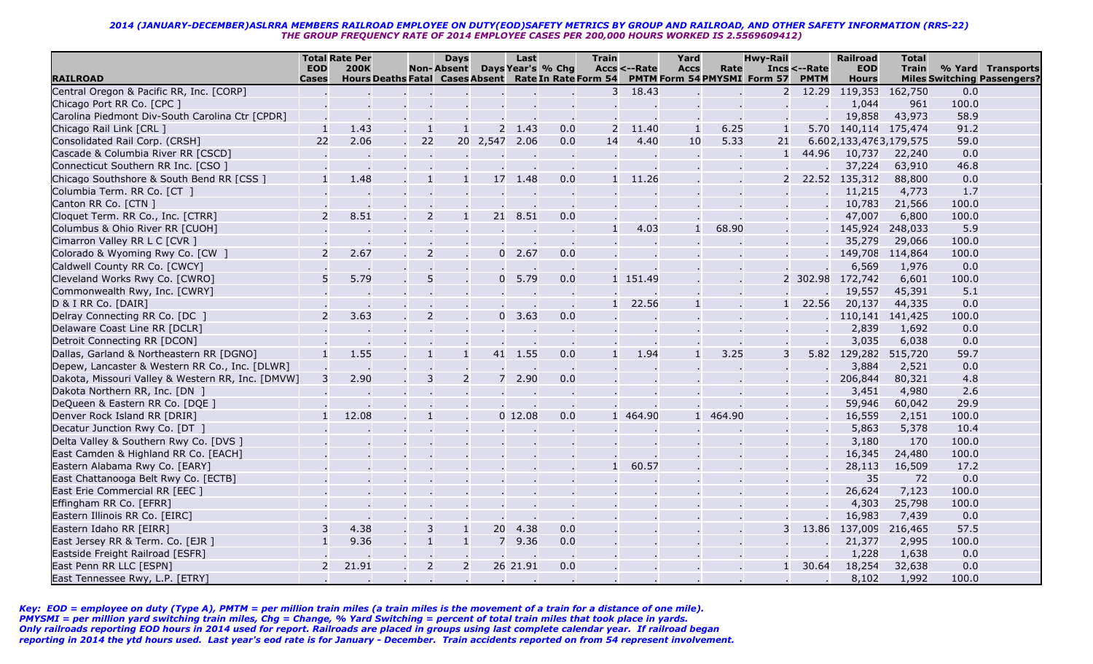|                                                   |               | <b>Total Rate Per</b>                                |                | <b>Days</b>       |                | Last      |                   | <b>Train</b> |              | Yard         |          | <b>Hwy-Rail</b>             |              | <b>Railroad</b>        | <b>Total</b>    |       |                                    |
|---------------------------------------------------|---------------|------------------------------------------------------|----------------|-------------------|----------------|-----------|-------------------|--------------|--------------|--------------|----------|-----------------------------|--------------|------------------------|-----------------|-------|------------------------------------|
|                                                   | <b>EOD</b>    | <b>200K</b>                                          |                | <b>Non-Absent</b> |                |           | Days Year's % Chg |              | Accs <--Rate | <b>Accs</b>  | Rate     |                             | Incs <--Rate | <b>EOD</b>             | <b>Train</b>    |       | % Yard Transports                  |
| <b>RAILROAD</b>                                   | <b>Cases</b>  | Hours Deaths Fatal Cases Absent Rate In Rate Form 54 |                |                   |                |           |                   |              |              |              |          | PMTM Form 54 PMYSMI Form 57 | <b>PMTM</b>  | <b>Hours</b>           |                 |       | <b>Miles Switching Passengers?</b> |
| Central Oregon & Pacific RR, Inc. [CORP]          |               |                                                      |                |                   |                |           |                   | 3            | 18.43        |              |          | 2                           | 12.29        | 119,353                | 162,750         | 0.0   |                                    |
| Chicago Port RR Co. [CPC ]                        |               |                                                      |                |                   |                |           |                   |              |              |              |          |                             |              | 1,044                  | 961             | 100.0 |                                    |
| Carolina Piedmont Div-South Carolina Ctr [CPDR]   |               |                                                      |                |                   |                |           |                   |              |              |              |          |                             |              | 19,858                 | 43,973          | 58.9  |                                    |
| Chicago Rail Link [CRL ]                          |               | 1.43                                                 | $\overline{1}$ |                   |                | 2, 1.43   | 0.0               | 2            | 11.40        | $\mathbf{1}$ | 6.25     |                             | 5.70         | 140,114 175,474        |                 | 91.2  |                                    |
| Consolidated Rail Corp. (CRSH]                    | 22            | 2.06                                                 | 22             |                   | 20 2,547 2.06  |           | 0.0               | 14           | 4.40         | 10           | 5.33     | 21                          |              | 6.602,133,4763,179,575 |                 | 59.0  |                                    |
| Cascade & Columbia River RR [CSCD]                |               |                                                      |                |                   |                |           |                   |              |              |              |          |                             | 44.96        | 10,737                 | 22,240          | 0.0   |                                    |
| Connecticut Southern RR Inc. [CSO ]               |               |                                                      |                |                   |                |           |                   |              |              |              |          |                             |              | 37,224                 | 63,910          | 46.8  |                                    |
| Chicago Southshore & South Bend RR [CSS ]         |               | 1.48                                                 |                |                   |                | 17 1.48   | 0.0               | $\mathbf{1}$ | 11.26        |              |          | $\overline{2}$              | 22.52        | 135,312                | 88,800          | 0.0   |                                    |
| Columbia Term. RR Co. [CT ]                       |               |                                                      |                |                   |                |           |                   |              |              |              |          |                             |              | 11,215                 | 4,773           | 1.7   |                                    |
| Canton RR Co. [CTN ]                              |               |                                                      |                |                   |                |           |                   |              |              |              |          |                             |              | 10,783                 | 21,566          | 100.0 |                                    |
| Cloquet Term. RR Co., Inc. [CTRR]                 | $\mathcal{P}$ | 8.51                                                 | $\overline{2}$ | $\mathbf{1}$      | 21             | 8.51      | 0.0               |              |              |              |          |                             |              | 47,007                 | 6,800           | 100.0 |                                    |
| Columbus & Ohio River RR [CUOH]                   |               |                                                      |                |                   |                |           |                   | $\mathbf{1}$ | 4.03         |              | 68.90    |                             |              |                        | 145,924 248,033 | 5.9   |                                    |
| Cimarron Valley RR L C [CVR ]                     |               |                                                      |                |                   |                |           |                   |              |              |              |          |                             |              | 35,279                 | 29,066          | 100.0 |                                    |
| Colorado & Wyoming Rwy Co. [CW ]                  |               | 2.67                                                 | $\overline{2}$ |                   | 0              | 2.67      | 0.0               |              |              |              |          |                             |              | 149,708                | 114,864         | 100.0 |                                    |
| Caldwell County RR Co. [CWCY]                     |               |                                                      |                |                   |                |           |                   |              |              |              |          |                             |              | 6,569                  | 1,976           | 0.0   |                                    |
| Cleveland Works Rwy Co. [CWRO]                    |               | 5.79                                                 | 5              |                   | $\mathbf{0}$   | 5.79      | 0.0               |              | 1 151.49     |              |          |                             | 2 302.98     | 172,742                | 6,601           | 100.0 |                                    |
| Commonwealth Rwy, Inc. [CWRY]                     |               |                                                      |                |                   |                |           |                   |              |              |              |          |                             |              | 19,557                 | 45,391          | 5.1   |                                    |
| D & I RR Co. [DAIR]                               |               |                                                      |                |                   |                |           |                   | $\mathbf{1}$ | 22.56        |              |          |                             | 22.56        | 20,137                 | 44,335          | 0.0   |                                    |
| Delray Connecting RR Co. [DC ]                    |               | 3.63                                                 | $\overline{2}$ |                   | $\overline{0}$ | 3.63      | 0.0               |              |              |              |          |                             |              | 110,141                | 141,425         | 100.0 |                                    |
| Delaware Coast Line RR [DCLR]                     |               |                                                      |                |                   |                | $\sim$    |                   |              |              |              |          |                             |              | 2,839                  | 1,692           | 0.0   |                                    |
| Detroit Connecting RR [DCON]                      |               |                                                      |                |                   |                |           |                   |              |              |              |          |                             |              | 3,035                  | 6,038           | 0.0   |                                    |
| Dallas, Garland & Northeastern RR [DGNO]          |               | 1.55                                                 |                | $\overline{1}$    |                | 41 1.55   | 0.0               | $\mathbf{1}$ | 1.94         |              | 3.25     | 3                           | 5.82         | 129,282                | 515,720         | 59.7  |                                    |
| Depew, Lancaster & Western RR Co., Inc. [DLWR]    |               |                                                      |                |                   |                |           |                   |              |              |              |          |                             |              | 3,884                  | 2,521           | 0.0   |                                    |
| Dakota, Missouri Valley & Western RR, Inc. [DMVW] |               | 2.90                                                 | 3              | 2                 |                | 7 2.90    | 0.0               |              |              |              |          |                             |              | 206,844                | 80,321          | 4.8   |                                    |
| Dakota Northern RR, Inc. [DN ]                    |               |                                                      |                |                   |                |           |                   |              |              |              |          |                             |              | 3,451                  | 4,980           | 2.6   |                                    |
| DeQueen & Eastern RR Co. [DQE ]                   |               |                                                      |                |                   |                |           |                   |              |              |              |          |                             |              | 59,946                 | 60,042          | 29.9  |                                    |
| Denver Rock Island RR [DRIR]                      |               | 12.08                                                |                |                   |                | $0$ 12.08 | 0.0               |              | 1 464.90     |              | 1 464.90 |                             |              | 16,559                 | 2,151           | 100.0 |                                    |
| Decatur Junction Rwy Co. [DT ]                    |               |                                                      |                |                   |                |           |                   |              |              |              |          |                             |              | 5,863                  | 5,378           | 10.4  |                                    |
| Delta Valley & Southern Rwy Co. [DVS ]            |               |                                                      |                |                   |                |           |                   |              |              |              |          |                             |              | 3,180                  | 170             | 100.0 |                                    |
| East Camden & Highland RR Co. [EACH]              |               |                                                      |                |                   |                |           |                   |              |              |              |          |                             |              | 16,345                 | 24,480          | 100.0 |                                    |
| Eastern Alabama Rwy Co. [EARY]                    |               |                                                      |                |                   |                |           |                   | $\mathbf{1}$ | 60.57        |              |          |                             |              | 28,113                 | 16,509          | 17.2  |                                    |
| East Chattanooga Belt Rwy Co. [ECTB]              |               |                                                      |                |                   |                |           |                   |              |              |              |          |                             |              | 35                     | 72              | 0.0   |                                    |
| East Erie Commercial RR [EEC ]                    |               |                                                      |                |                   |                |           |                   |              |              |              |          |                             |              | 26,624                 | 7,123           | 100.0 |                                    |
| Effingham RR Co. [EFRR]                           |               |                                                      |                |                   |                |           |                   |              |              |              |          |                             |              | 4,303                  | 25,798          | 100.0 |                                    |
| Eastern Illinois RR Co. [EIRC]                    |               |                                                      |                |                   |                |           |                   |              |              |              |          |                             |              | 16,983                 | 7,439           | 0.0   |                                    |
| Eastern Idaho RR [EIRR]                           |               | 4.38                                                 | 3              | $\mathbf{1}$      | 20             | 4.38      | 0.0               |              |              |              |          |                             | 13.86        | 137,009                | 216,465         | 57.5  |                                    |
| East Jersey RR & Term. Co. [EJR ]                 |               | 9.36                                                 | $\mathbf{1}$   | $\mathbf{1}$      | $\overline{7}$ | 9.36      | 0.0               |              |              |              |          |                             |              | 21,377                 | 2,995           | 100.0 |                                    |
| Eastside Freight Railroad [ESFR]                  |               |                                                      |                |                   |                |           |                   |              |              |              |          |                             |              | 1,228                  | 1,638           | 0.0   |                                    |
| East Penn RR LLC [ESPN]                           |               | 21.91                                                | $\overline{2}$ | $\overline{2}$    |                | 26 21.91  | 0.0               |              |              |              |          |                             | 30.64        | 18,254                 | 32,638          | 0.0   |                                    |
| East Tennessee Rwy, L.P. [ETRY]                   |               |                                                      |                |                   |                |           |                   |              |              |              |          |                             |              | 8,102                  | 1,992           | 100.0 |                                    |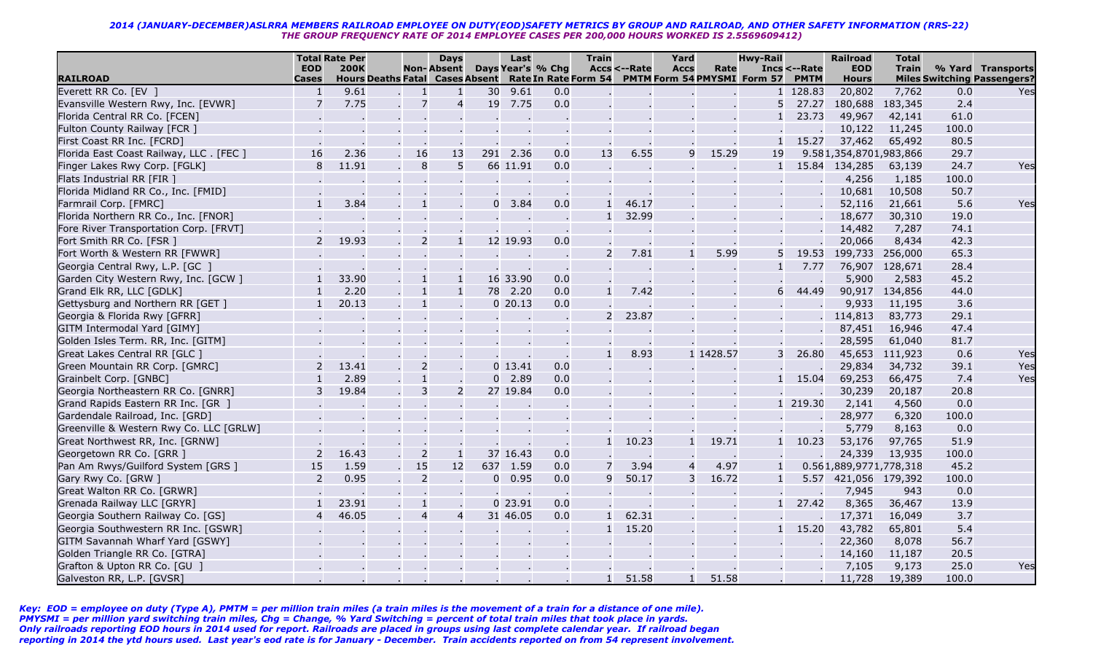|                                                               |                          | <b>Total Rate Per</b> |                                        | <b>Days</b>                                      |                | Last             |                   | <b>Train</b>   |                        | Yard           |           | <b>Hwy-Rail</b>                                  |                 | <b>Railroad</b>        | <b>Total</b>              |              |                                           |
|---------------------------------------------------------------|--------------------------|-----------------------|----------------------------------------|--------------------------------------------------|----------------|------------------|-------------------|----------------|------------------------|----------------|-----------|--------------------------------------------------|-----------------|------------------------|---------------------------|--------------|-------------------------------------------|
|                                                               | <b>EOD</b>               | <b>200K</b>           |                                        | <b>Non-Absent</b>                                |                |                  | Days Year's % Chq |                | <b>Accs &lt;--Rate</b> | <b>Accs</b>    | Rate      |                                                  | Incs <--Rate    | <b>EOD</b>             | <b>Train</b>              |              | % Yard Transports                         |
| <b>RAILROAD</b>                                               | <b>Cases</b>             | 9.61                  | <b>Hours Deaths Fatal Cases Absent</b> |                                                  |                |                  |                   |                |                        |                |           | Rate In Rate Form 54 PMTM Form 54 PMYSMI Form 57 | <b>PMTM</b>     | <b>Hours</b>           | 7,762                     |              | <b>Miles Switching Passengers?</b><br>Yes |
| Everett RR Co. [EV ]                                          | $\mathbf{1}$             |                       | -1                                     | $\mathbf{1}$<br>$\overline{7}$<br>$\overline{4}$ | 30             | 9.61             | 0.0<br>0.0        |                |                        |                |           | $\mathbf{1}$<br>5                                | 128.83<br>27.27 | 20,802                 |                           | 0.0<br>2.4   |                                           |
| Evansville Western Rwy, Inc. [EVWR]                           | 7                        | 7.75                  |                                        |                                                  | 19             | 7.75             |                   |                |                        |                |           |                                                  | 23.73           |                        | 180,688 183,345<br>42,141 | 61.0         |                                           |
| Florida Central RR Co. [FCEN]<br>Fulton County Railway [FCR ] |                          |                       |                                        |                                                  |                |                  |                   |                |                        |                |           |                                                  |                 | 49,967<br>10,122       | 11,245                    | 100.0        |                                           |
|                                                               |                          |                       |                                        |                                                  |                |                  |                   |                |                        |                |           |                                                  | 15.27           | 37,462                 |                           |              |                                           |
| First Coast RR Inc. [FCRD]                                    |                          |                       |                                        |                                                  |                |                  |                   |                |                        | 9              |           |                                                  |                 |                        | 65,492                    | 80.5         |                                           |
| Florida East Coast Railway, LLC. [FEC]                        | 16<br>8                  | 2.36<br>11.91         | 16                                     | 13<br>8<br>5                                     | 291            | 2.36<br>66 11.91 | 0.0<br>0.0        | 13             | 6.55                   |                | 15.29     | 19                                               |                 | 9.581,354,8701,983,866 |                           | 29.7<br>24.7 | Yes                                       |
| Finger Lakes Rwy Corp. [FGLK]                                 |                          |                       |                                        |                                                  |                |                  |                   |                |                        |                |           |                                                  |                 | 15.84 134,285          | 63,139                    |              |                                           |
| Flats Industrial RR [FIR ]                                    |                          |                       |                                        |                                                  |                |                  |                   |                |                        |                |           |                                                  |                 | 4,256                  | 1,185                     | 100.0        |                                           |
| Florida Midland RR Co., Inc. [FMID]                           |                          |                       |                                        |                                                  |                |                  |                   |                |                        |                |           |                                                  |                 | 10,681                 | 10,508                    | 50.7         |                                           |
| Farmrail Corp. [FMRC]                                         | $\mathbf{1}$             | 3.84                  |                                        | $\mathbf{1}$                                     |                | $0\quad 3.84$    | 0.0               | $\mathbf{1}$   | 46.17                  |                |           |                                                  |                 | 52,116                 | 21,661                    | 5.6          | Yes                                       |
| Florida Northern RR Co., Inc. [FNOR]                          |                          |                       |                                        |                                                  |                |                  |                   |                | 32.99                  |                |           |                                                  |                 | 18,677                 | 30,310                    | 19.0         |                                           |
| Fore River Transportation Corp. [FRVT]                        |                          |                       |                                        |                                                  |                |                  |                   |                |                        |                |           |                                                  |                 | 14,482                 | 7,287                     | 74.1         |                                           |
| Fort Smith RR Co. [FSR ]                                      | $\overline{\phantom{0}}$ | 19.93                 |                                        | $\overline{2}$<br>$\mathbf{1}$                   |                | 12 19.93         | 0.0               |                |                        |                |           |                                                  |                 | 20,066                 | 8,434                     | 42.3         |                                           |
| Fort Worth & Western RR [FWWR]                                |                          |                       |                                        |                                                  |                |                  |                   | $\overline{2}$ | 7.81                   | $\mathbf{1}$   | 5.99      | 5                                                | 19.53           |                        | 199,733 256,000           | 65.3         |                                           |
| Georgia Central Rwy, L.P. [GC ]                               |                          |                       |                                        |                                                  |                |                  |                   |                |                        |                |           |                                                  | 7.77            | 76,907                 | 128,671                   | 28.4         |                                           |
| Garden City Western Rwy, Inc. [GCW ]                          |                          | 33.90                 |                                        |                                                  | 16             | 33.90            | 0.0               |                |                        |                |           |                                                  |                 | 5,900                  | 2,583                     | 45.2         |                                           |
| Grand Elk RR, LLC [GDLK]                                      |                          | 2.20                  |                                        | $\mathbf{1}$                                     | 78             | 2.20             | 0.0               | $\mathbf{1}$   | 7.42                   |                |           | 6                                                | 44.49           | 90,917                 | 134,856                   | 44.0         |                                           |
| Gettysburg and Northern RR [GET ]                             |                          | 20.13                 |                                        | $\overline{1}$                                   |                | $0$ 20.13        | 0.0               |                |                        |                |           |                                                  |                 | 9,933                  | 11,195                    | 3.6          |                                           |
| Georgia & Florida Rwy [GFRR]                                  |                          |                       |                                        |                                                  |                |                  |                   | $\overline{2}$ | 23.87                  |                |           |                                                  |                 | 114,813                | 83,773                    | 29.1         |                                           |
| GITM Intermodal Yard [GIMY]                                   |                          |                       |                                        |                                                  |                |                  |                   |                |                        |                |           |                                                  |                 | 87,451                 | 16,946                    | 47.4         |                                           |
| Golden Isles Term. RR, Inc. [GITM]                            |                          |                       |                                        |                                                  |                |                  |                   |                |                        |                |           |                                                  |                 | 28,595                 | 61,040                    | 81.7         |                                           |
| Great Lakes Central RR [GLC ]                                 |                          |                       |                                        |                                                  |                |                  |                   |                | 8.93                   |                | 1 1428.57 | 3                                                | 26.80           | 45,653                 | 111,923                   | 0.6          | Yes                                       |
| Green Mountain RR Corp. [GMRC]                                |                          | 13.41                 |                                        | $\overline{2}$                                   |                | $0$ 13.41        | 0.0               |                |                        |                |           |                                                  |                 | 29,834                 | 34,732                    | 39.1         | Yes                                       |
| Grainbelt Corp. [GNBC]                                        |                          | 2.89                  |                                        |                                                  | $\Omega$       | 2.89             | 0.0               |                |                        |                |           |                                                  | 15.04           | 69,253                 | 66,475                    | 7.4          | Yes                                       |
| Georgia Northeastern RR Co. [GNRR]                            | 3                        | 19.84                 |                                        | 3<br>$\overline{2}$                              |                | 27 19.84         | 0.0               |                |                        |                |           |                                                  |                 | 30,239                 | 20,187                    | 20.8         |                                           |
| Grand Rapids Eastern RR Inc. [GR ]                            |                          |                       |                                        |                                                  |                |                  |                   |                |                        |                |           |                                                  | 1 219.30        | 2,141                  | 4,560                     | 0.0          |                                           |
| Gardendale Railroad, Inc. [GRD]                               |                          |                       |                                        |                                                  |                |                  |                   |                |                        |                |           |                                                  |                 | 28,977                 | 6,320                     | 100.0        |                                           |
| Greenville & Western Rwy Co. LLC [GRLW]                       |                          |                       |                                        |                                                  |                |                  |                   |                |                        |                |           |                                                  |                 | 5,779                  | 8,163                     | 0.0          |                                           |
| Great Northwest RR, Inc. [GRNW]                               |                          |                       |                                        |                                                  |                |                  |                   | $\mathbf{1}$   | 10.23                  | $\mathbf{1}$   | 19.71     |                                                  | 10.23           | 53,176                 | 97,765                    | 51.9         |                                           |
| Georgetown RR Co. [GRR ]                                      |                          | 16.43                 |                                        | $\overline{2}$<br>$\mathbf{1}$                   |                | 37 16.43         | 0.0               |                |                        |                |           |                                                  |                 | 24,339                 | 13,935                    | 100.0        |                                           |
| Pan Am Rwys/Guilford System [GRS ]                            | 15                       | 1.59                  | 15                                     | 12                                               | 637            | 1.59             | 0.0               |                | 3.94                   | $\overline{a}$ | 4.97      |                                                  |                 | 0.561,889,9771,778,318 |                           | 45.2         |                                           |
| Gary Rwy Co. [GRW ]                                           | 2                        | 0.95                  |                                        | $\overline{2}$                                   | $\overline{0}$ | 0.95             | 0.0               | 9              | 50.17                  | 3              | 16.72     | $\mathbf{1}$                                     |                 | 5.57 421,056 179,392   |                           | 100.0        |                                           |
| Great Walton RR Co. [GRWR]                                    |                          |                       |                                        |                                                  |                |                  |                   |                |                        |                |           |                                                  |                 | 7,945                  | 943                       | 0.0          |                                           |
| Grenada Railway LLC [GRYR]                                    |                          | 23.91                 |                                        |                                                  |                | $0$ 23.91        | 0.0               |                |                        |                |           |                                                  | 27.42           | 8,365                  | 36,467                    | 13.9         |                                           |
| Georgia Southern Railway Co. [GS]                             | $\overline{4}$           | 46.05                 |                                        | $\overline{4}$<br>$\overline{4}$                 |                | 31 46.05         | 0.0               | $\mathbf{1}$   | 62.31                  |                |           |                                                  |                 | 17,371                 | 16,049                    | 3.7          |                                           |
| Georgia Southwestern RR Inc. [GSWR]                           |                          |                       |                                        |                                                  |                |                  |                   |                | 15.20                  |                |           |                                                  | 15.20           | 43,782                 | 65,801                    | 5.4          |                                           |
| GITM Savannah Wharf Yard [GSWY]                               |                          |                       |                                        |                                                  |                |                  |                   |                |                        |                |           |                                                  |                 | 22,360                 | 8,078                     | 56.7         |                                           |
| Golden Triangle RR Co. [GTRA]                                 |                          |                       |                                        |                                                  |                |                  |                   |                |                        |                |           |                                                  |                 | 14,160                 | 11,187                    | 20.5         |                                           |
| Grafton & Upton RR Co. [GU ]                                  |                          |                       |                                        |                                                  |                |                  |                   |                |                        |                |           |                                                  |                 | 7,105                  | 9,173                     | 25.0         | Yes                                       |
| Galveston RR, L.P. [GVSR]                                     |                          |                       |                                        |                                                  |                |                  |                   | $\mathbf{1}$   | 51.58                  | $\mathbf{1}$   | 51.58     |                                                  |                 | 11,728                 | 19,389                    | 100.0        |                                           |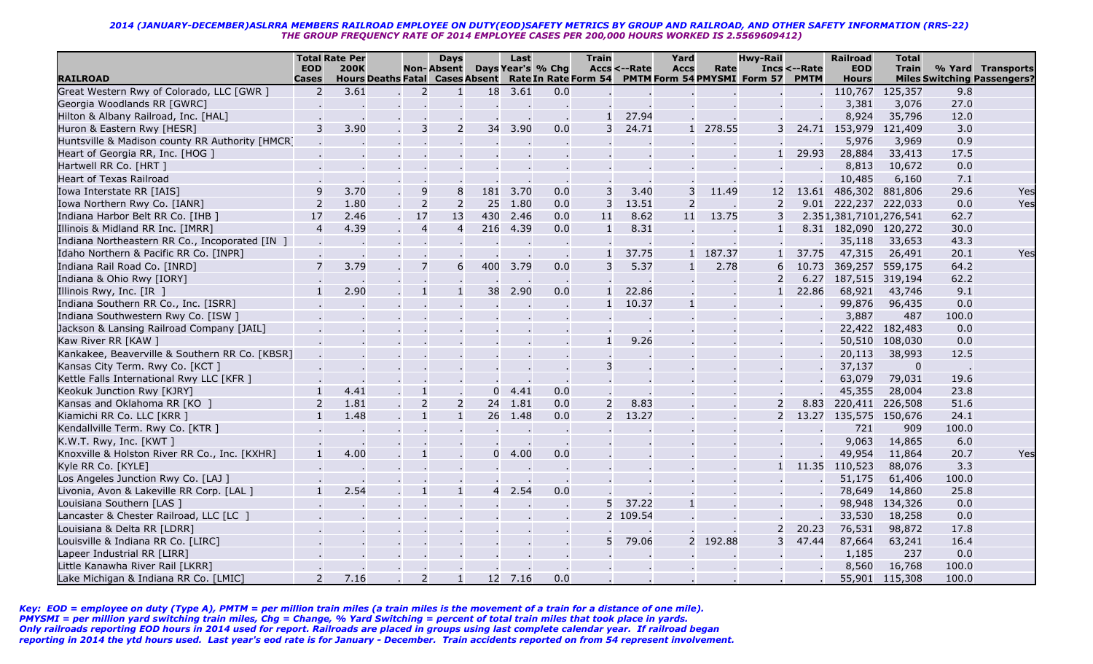|                                                 |                            | <b>Total Rate Per</b> |                                        |                          | <b>Days</b>    |                | Last |                   | <b>Train</b>   |                        | Yard           |          | <b>Hwy-Rail</b>                                  |                             | <b>Railroad</b>            | <b>Total</b>    |       |                                                         |
|-------------------------------------------------|----------------------------|-----------------------|----------------------------------------|--------------------------|----------------|----------------|------|-------------------|----------------|------------------------|----------------|----------|--------------------------------------------------|-----------------------------|----------------------------|-----------------|-------|---------------------------------------------------------|
| <b>RAILROAD</b>                                 | <b>EOD</b><br><b>Cases</b> | <b>200K</b>           | <b>Hours Deaths Fatal Cases Absent</b> | <b>Non-Absent</b>        |                |                |      | Days Year's % Chg |                | <b>Accs &lt;--Rate</b> | <b>Accs</b>    | Rate     | Rate In Rate Form 54 PMTM Form 54 PMYSMI Form 57 | Incs <--Rate<br><b>PMTM</b> | <b>EOD</b><br><b>Hours</b> | <b>Train</b>    |       | % Yard Transports<br><b>Miles Switching Passengers?</b> |
| Great Western Rwy of Colorado, LLC [GWR ]       | 2                          | 3.61                  |                                        | $\overline{2}$           | $\mathbf{1}$   | 18             | 3.61 | 0.0               |                |                        |                |          |                                                  |                             | 110,767                    | 125,357         | 9.8   |                                                         |
| Georgia Woodlands RR [GWRC]                     |                            |                       |                                        |                          |                |                |      |                   |                |                        |                |          |                                                  |                             | 3,381                      | 3,076           | 27.0  |                                                         |
| Hilton & Albany Railroad, Inc. [HAL]            |                            |                       |                                        |                          |                |                |      |                   | $\mathbf{1}$   | 27.94                  |                |          |                                                  |                             | 8,924                      | 35,796          | 12.0  |                                                         |
| Huron & Eastern Rwy [HESR]                      | 3                          | 3.90                  |                                        | 3                        | $\overline{2}$ | 34             | 3.90 | 0.0               |                | 24.71                  |                | 1 278.55 | 3                                                |                             | 24.71 153,979              | 121,409         | 3.0   |                                                         |
| Huntsville & Madison county RR Authority [HMCR] |                            |                       |                                        |                          |                |                |      |                   |                |                        |                |          |                                                  |                             | 5,976                      | 3,969           | 0.9   |                                                         |
| Heart of Georgia RR, Inc. [HOG ]                |                            |                       |                                        |                          |                |                |      |                   |                |                        |                |          |                                                  | 29.93                       | 28,884                     | 33,413          | 17.5  |                                                         |
| Hartwell RR Co. [HRT ]                          |                            |                       |                                        |                          |                |                |      |                   |                |                        |                |          |                                                  |                             | 8,813                      | 10,672          | 0.0   |                                                         |
| <b>Heart of Texas Railroad</b>                  |                            |                       |                                        |                          |                |                |      |                   |                |                        |                |          |                                                  |                             | 10,485                     | 6,160           | 7.1   |                                                         |
| Iowa Interstate RR [IAIS]                       | 9                          | 3.70                  |                                        | 9                        | 8              | 181            | 3.70 | 0.0               | 3              | 3.40                   | 3              | 11.49    | 12                                               | 13.61                       | 486,302 881,806            |                 | 29.6  | Yes                                                     |
| Iowa Northern Rwy Co. [IANR]                    | 2                          | 1.80                  |                                        | $\overline{2}$           | $\overline{2}$ | 25             | 1.80 | 0.0               | 3              | 13.51                  | $\overline{2}$ |          | 2                                                |                             | 9.01 222,237 222,033       |                 | 0.0   | Yes                                                     |
| Indiana Harbor Belt RR Co. [IHB ]               | 17                         | 2.46                  |                                        | 17                       | 13             | 430            | 2.46 | 0.0               | 11             | 8.62                   | 11             | 13.75    | 3                                                |                             | 2.351,381,7101,276,541     |                 | 62.7  |                                                         |
| Illinois & Midland RR Inc. [IMRR]               | $\overline{4}$             | 4.39                  |                                        | $\overline{4}$           | $\overline{4}$ | 216            | 4.39 | 0.0               | $\mathbf{1}$   | 8.31                   |                |          |                                                  |                             | 8.31 182,090 120,272       |                 | 30.0  |                                                         |
| Indiana Northeastern RR Co., Incoporated [IN ]  |                            |                       |                                        |                          |                |                |      |                   |                |                        |                |          |                                                  |                             | 35,118                     | 33,653          | 43.3  |                                                         |
| Idaho Northern & Pacific RR Co. [INPR]          |                            |                       |                                        |                          |                |                |      |                   |                | 37.75                  |                | 1 187.37 |                                                  | 37.75                       | 47,315                     | 26,491          | 20.1  | Yes                                                     |
| Indiana Rail Road Co. [INRD]                    | $\overline{7}$             | 3.79                  |                                        | 7                        | 6              | 400            | 3.79 | 0.0               | 3              | 5.37                   | $\mathbf{1}$   | 2.78     | 6                                                | 10.73                       | 369,257                    | 559,175         | 64.2  |                                                         |
| Indiana & Ohio Rwy [IORY]                       |                            |                       |                                        |                          |                |                |      |                   |                |                        |                |          |                                                  | 6.27                        |                            | 187,515 319,194 | 62.2  |                                                         |
| Illinois Rwy, Inc. [IR ]                        | $\mathbf{1}$               | 2.90                  |                                        |                          | $\mathbf{1}$   | 38             | 2.90 | 0.0               |                | 22.86                  |                |          |                                                  | 22.86                       | 68,921                     | 43,746          | 9.1   |                                                         |
| Indiana Southern RR Co., Inc. [ISRR]            |                            |                       |                                        |                          |                |                |      |                   |                | 10.37                  | $\mathbf{1}$   |          |                                                  |                             | 99,876                     | 96,435          | 0.0   |                                                         |
| Indiana Southwestern Rwy Co. [ISW ]             |                            |                       |                                        |                          |                |                |      |                   |                |                        |                |          |                                                  |                             | 3,887                      | 487             | 100.0 |                                                         |
| Jackson & Lansing Railroad Company [JAIL]       |                            |                       |                                        |                          |                |                |      |                   |                |                        |                |          |                                                  |                             |                            | 22,422 182,483  | 0.0   |                                                         |
| Kaw River RR [KAW ]                             |                            |                       |                                        |                          |                |                |      |                   |                | 9.26                   |                |          |                                                  |                             | 50,510                     | 108,030         | 0.0   |                                                         |
| Kankakee, Beaverville & Southern RR Co. [KBSR]  |                            |                       |                                        |                          |                |                |      |                   |                |                        |                |          |                                                  |                             | 20,113                     | 38,993          | 12.5  |                                                         |
| Kansas City Term. Rwy Co. [KCT]                 |                            |                       |                                        |                          |                |                |      |                   | 3              |                        |                |          |                                                  |                             | 37,137                     | $\mathbf 0$     |       |                                                         |
| Kettle Falls International Rwy LLC [KFR ]       |                            |                       |                                        |                          |                |                |      |                   |                |                        |                |          |                                                  |                             | 63,079                     | 79,031          | 19.6  |                                                         |
| Keokuk Junction Rwy [KJRY]                      | $\mathbf{1}$               | 4.41                  |                                        |                          |                | $\Omega$       | 4.41 | 0.0               |                |                        |                |          |                                                  |                             | 45,355                     | 28,004          | 23.8  |                                                         |
| Kansas and Oklahoma RR [KO ]                    | $\overline{2}$             | 1.81                  |                                        | $\overline{2}$           | $\overline{2}$ | 24             | 1.81 | 0.0               | $\overline{2}$ | 8.83                   |                |          |                                                  | 8.83                        |                            | 220,411 226,508 | 51.6  |                                                         |
| Kiamichi RR Co. LLC [KRR ]                      | $\mathbf{1}$               | 1.48                  |                                        | $\mathbf{1}$             | $\mathbf{1}$   | 26             | 1.48 | 0.0               | $\overline{2}$ | 13.27                  |                |          | 2                                                | 13.27                       |                            | 135,575 150,676 | 24.1  |                                                         |
| Kendallville Term. Rwy Co. [KTR ]               |                            |                       |                                        |                          |                |                |      |                   |                |                        |                |          |                                                  |                             | 721                        | 909             | 100.0 |                                                         |
| K.W.T. Rwy, Inc. [KWT]                          |                            |                       |                                        |                          |                |                |      |                   |                |                        |                |          |                                                  |                             | 9,063                      | 14,865          | 6.0   |                                                         |
| Knoxville & Holston River RR Co., Inc. [KXHR]   |                            | 4.00                  |                                        |                          |                | $\mathbf{0}$   | 4.00 | 0.0               |                |                        |                |          |                                                  |                             | 49,954                     | 11,864          | 20.7  | Yes                                                     |
| Kyle RR Co. [KYLE]                              |                            |                       |                                        |                          |                |                |      |                   |                |                        |                |          |                                                  | 11.35                       | 110,523                    | 88,076          | 3.3   |                                                         |
| Los Angeles Junction Rwy Co. [LAJ]              |                            |                       |                                        |                          |                |                |      |                   |                |                        |                |          |                                                  |                             | 51,175                     | 61,406          | 100.0 |                                                         |
| Livonia, Avon & Lakeville RR Corp. [LAL ]       |                            | 2.54                  |                                        |                          |                | $\overline{4}$ | 2.54 | 0.0               |                |                        |                |          |                                                  |                             | 78,649                     | 14,860          | 25.8  |                                                         |
| Louisiana Southern [LAS ]                       |                            |                       |                                        |                          |                |                |      |                   | 5              | 37.22                  | $\mathbf{1}$   |          |                                                  |                             | 98,948                     | 134,326         | 0.0   |                                                         |
| Lancaster & Chester Railroad, LLC [LC ]         |                            |                       |                                        |                          |                |                |      |                   |                | 2 109.54               |                |          |                                                  |                             | 33,530                     | 18,258          | 0.0   |                                                         |
| Louisiana & Delta RR [LDRR]                     |                            |                       |                                        |                          |                |                |      |                   |                |                        |                |          |                                                  | 20.23                       | 76,531                     | 98,872          | 17.8  |                                                         |
| Louisville & Indiana RR Co. [LIRC]              |                            |                       |                                        |                          |                |                |      |                   |                | 79.06                  | $\overline{2}$ | 192.88   | 3                                                | 47.44                       | 87,664                     | 63,241          | 16.4  |                                                         |
| Lapeer Industrial RR [LIRR]                     |                            |                       |                                        |                          |                |                |      |                   |                |                        |                |          |                                                  |                             | 1,185                      | 237             | 0.0   |                                                         |
| Little Kanawha River Rail [LKRR]                |                            |                       |                                        |                          |                |                |      |                   |                |                        |                |          |                                                  |                             | 8,560                      | 16,768          | 100.0 |                                                         |
| Lake Michigan & Indiana RR Co. [LMIC]           | $\mathcal{P}$              | 7.16                  |                                        | $\overline{\phantom{0}}$ |                | 12             | 7.16 | 0.0               |                |                        |                |          |                                                  |                             | 55,901                     | 115,308         | 100.0 |                                                         |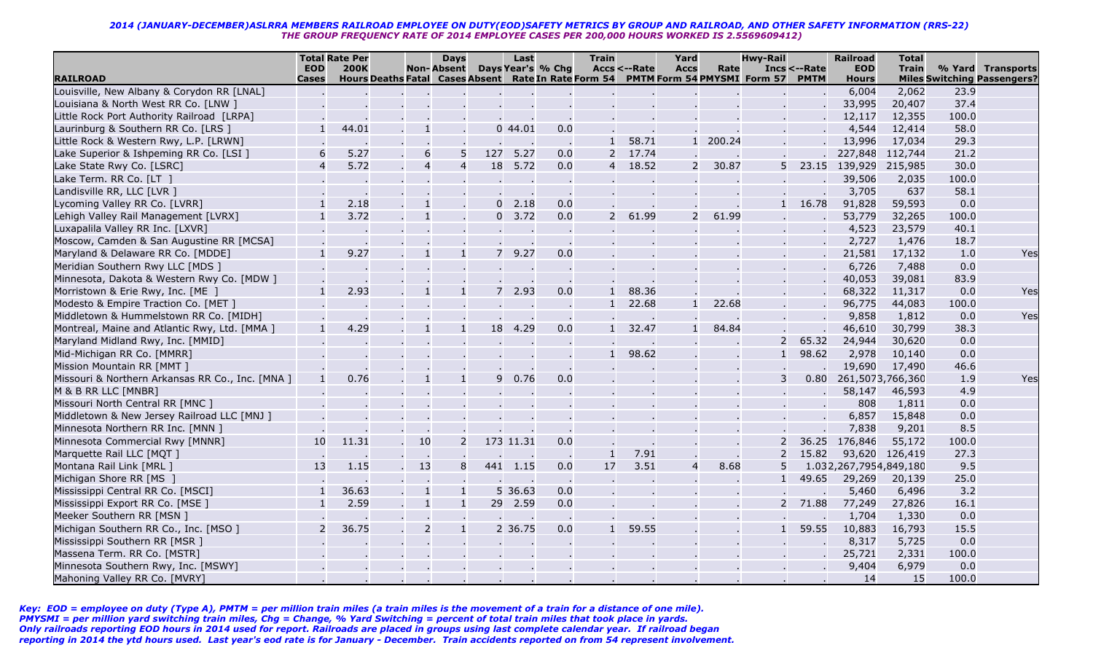|                                                  |                            | <b>Total Rate Per</b> |                                                                                  | <b>Days</b>       |             | Last      |                   | <b>Train</b>   |              | Yard           |        | <b>Hwy-Rail</b> |                             | <b>Railroad</b>            | <b>Total</b>   |       |                                                         |
|--------------------------------------------------|----------------------------|-----------------------|----------------------------------------------------------------------------------|-------------------|-------------|-----------|-------------------|----------------|--------------|----------------|--------|-----------------|-----------------------------|----------------------------|----------------|-------|---------------------------------------------------------|
| <b>RAILROAD</b>                                  | <b>EOD</b><br><b>Cases</b> | <b>200K</b>           | Hours Deaths Fatal Cases Absent Rate In Rate Form 54 PMTM Form 54 PMYSMI Form 57 | <b>Non-Absent</b> |             |           | Days Year's % Chg |                | Accs <--Rate | <b>Accs</b>    | Rate   |                 | Incs <--Rate<br><b>PMTM</b> | <b>EOD</b><br><b>Hours</b> | <b>Train</b>   |       | % Yard Transports<br><b>Miles Switching Passengers?</b> |
| Louisville, New Albany & Corydon RR [LNAL]       |                            |                       |                                                                                  |                   |             |           |                   |                |              |                |        |                 |                             | 6,004                      | 2,062          | 23.9  |                                                         |
| Louisiana & North West RR Co. [LNW ]             |                            |                       |                                                                                  |                   |             |           |                   |                |              |                |        |                 |                             | 33,995                     | 20,407         | 37.4  |                                                         |
| Little Rock Port Authority Railroad [LRPA]       |                            |                       |                                                                                  |                   |             |           |                   |                |              |                |        |                 |                             | 12,117                     | 12,355         | 100.0 |                                                         |
| Laurinburg & Southern RR Co. [LRS ]              | 1                          | 44.01                 |                                                                                  |                   |             | 044.01    | 0.0               |                |              |                |        |                 |                             | 4,544                      | 12,414         | 58.0  |                                                         |
| Little Rock & Western Rwy, L.P. [LRWN]           |                            |                       |                                                                                  |                   |             |           |                   |                | 58.71        | $\mathbf{1}$   | 200.24 |                 |                             | 13,996                     | 17,034         | 29.3  |                                                         |
| Lake Superior & Ishpeming RR Co. [LSI ]          | 6                          | 5.27                  | 6                                                                                | 5                 | 127         | 5.27      | 0.0               |                | 17.74        |                |        |                 |                             | 227,848 112,744            |                | 21.2  |                                                         |
| Lake State Rwy Co. [LSRC]                        | $\overline{4}$             | 5.72                  | $\overline{4}$                                                                   | $\overline{4}$    | 18          | 5.72      | 0.0               | 4              | 18.52        | 2              | 30.87  | 5 <sup>1</sup>  | 23.15                       | 139,929 215,985            |                | 30.0  |                                                         |
| Lake Term. RR Co. [LT ]                          |                            |                       |                                                                                  |                   |             |           |                   |                |              |                |        |                 |                             | 39,506                     | 2,035          | 100.0 |                                                         |
| Landisville RR, LLC [LVR ]                       |                            |                       |                                                                                  |                   |             |           |                   |                |              |                |        |                 |                             | 3,705                      | 637            | 58.1  |                                                         |
| Lycoming Valley RR Co. [LVRR]                    | $\mathbf{1}$               | 2.18                  |                                                                                  |                   |             | 2.18      | 0.0               |                |              |                |        |                 | 16.78                       | 91,828                     | 59,593         | 0.0   |                                                         |
| Lehigh Valley Rail Management [LVRX]             | $\mathbf{1}$               | 3.72                  |                                                                                  |                   | $\Omega$    | 3.72      | 0.0               | $\overline{2}$ | 61.99        | 2              | 61.99  |                 |                             | 53,779                     | 32,265         | 100.0 |                                                         |
| Luxapalila Valley RR Inc. [LXVR]                 |                            |                       |                                                                                  |                   |             |           |                   |                |              |                |        |                 |                             | 4,523                      | 23,579         | 40.1  |                                                         |
| Moscow, Camden & San Augustine RR [MCSA]         |                            |                       |                                                                                  |                   |             |           |                   |                |              |                |        |                 |                             | 2,727                      | 1,476          | 18.7  |                                                         |
| Maryland & Delaware RR Co. [MDDE]                | $\mathbf{1}$               | 9.27                  |                                                                                  | $\mathbf{1}$      | $7^{\circ}$ | 9.27      | 0.0               |                |              |                |        |                 |                             | 21,581                     | 17,132         | 1.0   | Yes                                                     |
| Meridian Southern Rwy LLC [MDS ]                 |                            |                       |                                                                                  |                   |             |           |                   |                |              |                |        |                 |                             | 6,726                      | 7,488          | 0.0   |                                                         |
| Minnesota, Dakota & Western Rwy Co. [MDW ]       |                            |                       |                                                                                  |                   |             |           |                   |                |              |                |        |                 |                             | 40,053                     | 39,081         | 83.9  |                                                         |
| Morristown & Erie Rwy, Inc. [ME ]                | 1                          | 2.93                  |                                                                                  | $\mathbf{1}$      |             | 2.93      | 0.0               | $\mathbf{1}$   | 88.36        |                |        |                 |                             | 68,322                     | 11,317         | 0.0   | Yes                                                     |
| Modesto & Empire Traction Co. [MET]              |                            |                       |                                                                                  |                   |             |           |                   |                | 22.68        | $\mathbf{1}$   | 22.68  |                 |                             | 96,775                     | 44,083         | 100.0 |                                                         |
| Middletown & Hummelstown RR Co. [MIDH]           |                            |                       |                                                                                  |                   |             |           |                   |                |              |                |        |                 |                             | 9,858                      | 1,812          | 0.0   | Yes                                                     |
| Montreal, Maine and Atlantic Rwy, Ltd. [MMA ]    | $\mathbf{1}$               | 4.29                  |                                                                                  |                   | 18          | 4.29      | 0.0               |                | 32.47        |                | 84.84  |                 |                             | 46,610                     | 30,799         | 38.3  |                                                         |
| Maryland Midland Rwy, Inc. [MMID]                |                            |                       |                                                                                  |                   |             |           |                   |                |              |                |        | $\overline{z}$  | 65.32                       | 24,944                     | 30,620         | 0.0   |                                                         |
| Mid-Michigan RR Co. [MMRR]                       |                            |                       |                                                                                  |                   |             |           |                   |                | 98.62        |                |        |                 | 98.62                       | 2,978                      | 10,140         | 0.0   |                                                         |
| Mission Mountain RR [MMT]                        |                            |                       |                                                                                  |                   |             |           |                   |                |              |                |        |                 |                             | 19,690                     | 17,490         | 46.6  |                                                         |
| Missouri & Northern Arkansas RR Co., Inc. [MNA ] |                            | 0.76                  |                                                                                  |                   | 9           | 0.76      | 0.0               |                |              |                |        |                 | 0.80                        | 261,5073,766,360           |                | 1.9   | Yes                                                     |
| M & B RR LLC [MNBR]                              |                            |                       |                                                                                  |                   |             |           |                   |                |              |                |        |                 |                             | 58,147                     | 46,593         | 4.9   |                                                         |
| Missouri North Central RR [MNC ]                 |                            |                       |                                                                                  |                   |             |           |                   |                |              |                |        |                 |                             | 808                        | 1,811          | 0.0   |                                                         |
| Middletown & New Jersey Railroad LLC [MNJ ]      |                            |                       |                                                                                  |                   |             |           |                   |                |              |                |        |                 |                             | 6,857                      | 15,848         | 0.0   |                                                         |
| Minnesota Northern RR Inc. [MNN ]                |                            |                       |                                                                                  |                   |             |           |                   |                |              |                |        |                 |                             | 7,838                      | 9,201          | 8.5   |                                                         |
| Minnesota Commercial Rwy [MNNR]                  | 10                         | 11.31                 | 10                                                                               | 2                 |             | 173 11.31 | 0.0               |                |              |                |        |                 | 36.25                       | 176,846                    | 55,172         | 100.0 |                                                         |
| Marquette Rail LLC [MQT ]                        |                            |                       |                                                                                  |                   |             |           |                   | $\mathbf{1}$   | 7.91         |                |        |                 | 15.82                       |                            | 93,620 126,419 | 27.3  |                                                         |
| Montana Rail Link [MRL ]                         | 13                         | 1.15                  | 13                                                                               | 8                 |             | 441 1.15  | 0.0               | 17             | 3.51         | $\overline{4}$ | 8.68   |                 |                             | 1.032,267,7954,849,180     |                | 9.5   |                                                         |
| Michigan Shore RR [MS ]                          |                            |                       |                                                                                  |                   |             |           | $\sim$            |                |              |                |        |                 | 49.65                       | 29,269                     | 20,139         | 25.0  |                                                         |
| Mississippi Central RR Co. [MSCI]                | $\mathbf{1}$               | 36.63                 |                                                                                  | $\mathbf{1}$      |             | 5 36.63   | 0.0               |                |              |                |        |                 |                             | 5,460                      | 6,496          | 3.2   |                                                         |
| Mississippi Export RR Co. [MSE]                  | $\mathbf{1}$               | 2.59                  |                                                                                  | $\mathbf{1}$      |             | 29 2.59   | 0.0               |                |              |                |        |                 | 71.88                       | 77,249                     | 27,826         | 16.1  |                                                         |
| Meeker Southern RR [MSN ]                        |                            |                       |                                                                                  |                   |             |           |                   |                |              |                |        |                 |                             | 1,704                      | 1,330          | 0.0   |                                                         |
| Michigan Southern RR Co., Inc. [MSO ]            | 2                          | 36.75                 | 2                                                                                | $\mathbf{1}$      |             | 2 36.75   | 0.0               | $\mathbf{1}$   | 59.55        |                |        |                 | 59.55                       | 10,883                     | 16,793         | 15.5  |                                                         |
| Mississippi Southern RR [MSR ]                   |                            |                       |                                                                                  |                   |             |           |                   |                |              |                |        |                 |                             | 8,317                      | 5,725          | 0.0   |                                                         |
| Massena Term. RR Co. [MSTR]                      |                            |                       |                                                                                  |                   |             |           |                   |                |              |                |        |                 |                             | 25,721                     | 2,331          | 100.0 |                                                         |
| Minnesota Southern Rwy, Inc. [MSWY]              |                            |                       |                                                                                  |                   |             |           |                   |                |              |                |        |                 |                             | 9,404                      | 6,979          | 0.0   |                                                         |
| Mahoning Valley RR Co. [MVRY]                    |                            |                       |                                                                                  |                   |             |           |                   |                |              |                |        |                 |                             | 14                         | 15             | 100.0 |                                                         |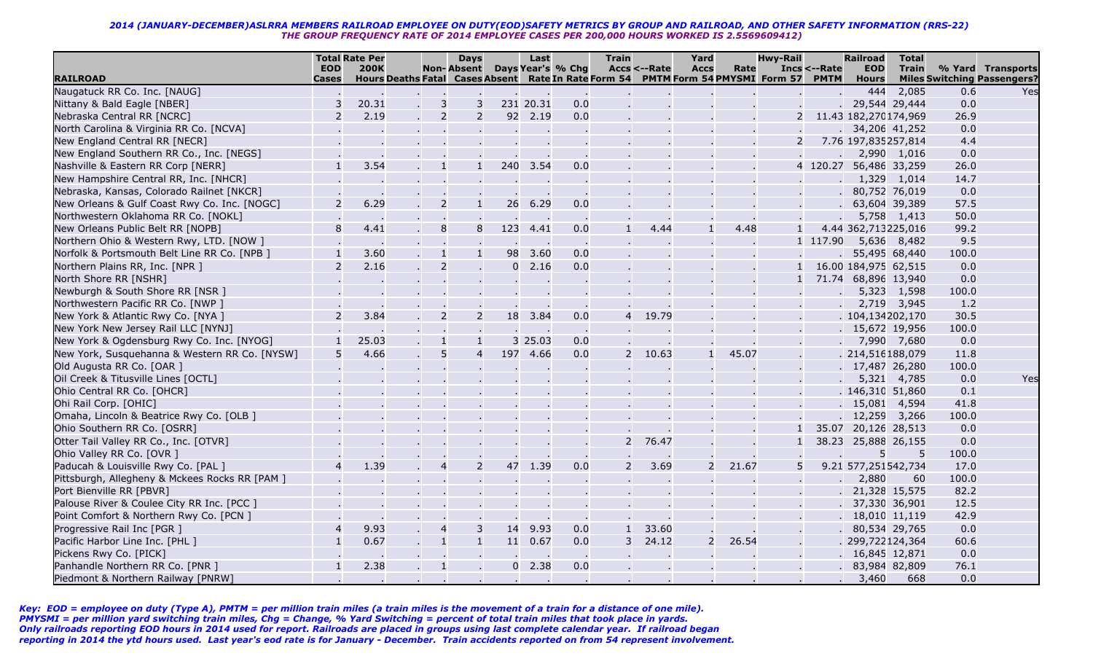|                                                |                       | <b>Total Rate Per</b>                                                                           | <b>Days</b>                      |                | Last              |     | <b>Train</b>   |              | Yard        |       | <b>Hwy-Rail</b> |                                | <b>Railroad</b>            | <b>Total</b> |       |                                                         |
|------------------------------------------------|-----------------------|-------------------------------------------------------------------------------------------------|----------------------------------|----------------|-------------------|-----|----------------|--------------|-------------|-------|-----------------|--------------------------------|----------------------------|--------------|-------|---------------------------------------------------------|
| <b>RAILROAD</b>                                | <b>EOD</b><br>Cases   | <b>200K</b><br>Hours Deaths Fatal Cases Absent Rate In Rate Form 54 PMTM Form 54 PMYSMI Form 57 | <b>Non-Absent</b>                |                | Days Year's % Chg |     |                | Accs <--Rate | <b>Accs</b> | Rate  |                 | $Incs < - Rate$<br><b>PMTM</b> | <b>EOD</b><br><b>Hours</b> | <b>Train</b> |       | % Yard Transports<br><b>Miles Switching Passengers?</b> |
| Naugatuck RR Co. Inc. [NAUG]                   |                       |                                                                                                 |                                  |                |                   |     |                |              |             |       |                 |                                | 444                        | 2,085        | 0.6   | Yes                                                     |
| Nittany & Bald Eagle [NBER]                    |                       | 20.31                                                                                           | 3<br>3                           |                | 231 20.31         | 0.0 |                |              |             |       |                 |                                | 29,544 29,444              |              | 0.0   |                                                         |
| Nebraska Central RR [NCRC]                     |                       | 2.19                                                                                            | $\overline{2}$<br>$\overline{2}$ |                | 92 2.19           | 0.0 |                |              |             |       | 2               |                                | 11.43 182,270174,969       |              | 26.9  |                                                         |
| North Carolina & Virginia RR Co. [NCVA]        |                       |                                                                                                 |                                  |                |                   |     |                |              |             |       |                 |                                | 34,206 41,252              |              | 0.0   |                                                         |
| New England Central RR [NECR]                  |                       |                                                                                                 |                                  |                |                   |     |                |              |             |       | $\overline{2}$  |                                | 7.76 197,835257,814        |              | 4.4   |                                                         |
| New England Southern RR Co., Inc. [NEGS]       |                       |                                                                                                 |                                  |                |                   |     |                |              |             |       |                 |                                | 2,990 1,016                |              | 0.0   |                                                         |
| Nashville & Eastern RR Corp [NERR]             |                       | 3.54                                                                                            | $\mathbf{1}$<br>$\mathbf{1}$     |                | 240 3.54          | 0.0 |                |              |             |       |                 | 4 120.27                       | 56,486 33,259              |              | 26.0  |                                                         |
| New Hampshire Central RR, Inc. [NHCR]          |                       |                                                                                                 |                                  |                |                   |     |                |              |             |       |                 |                                | 1,329 1,014                |              | 14.7  |                                                         |
| Nebraska, Kansas, Colorado Railnet [NKCR]      |                       |                                                                                                 |                                  |                |                   |     |                |              |             |       |                 |                                | 80,752 76,019              |              | 0.0   |                                                         |
| New Orleans & Gulf Coast Rwy Co. Inc. [NOGC]   | $\mathcal{P}$         | 6.29                                                                                            | $\overline{2}$<br>$\mathbf{1}$   | 26             | 6.29              | 0.0 |                |              |             |       |                 |                                | 63,604 39,389              |              | 57.5  |                                                         |
| Northwestern Oklahoma RR Co. [NOKL]            |                       |                                                                                                 |                                  |                |                   |     |                |              |             |       |                 |                                |                            | 5,758 1,413  | 50.0  |                                                         |
| New Orleans Public Belt RR [NOPB]              | 8                     | 4.41                                                                                            | 8<br>8                           | 123            | 4.41              | 0.0 |                | 4.44         |             | 4.48  | $\mathbf{1}$    |                                | 4.44 362,713225,016        |              | 99.2  |                                                         |
| Northern Ohio & Western Rwy, LTD. [NOW ]       |                       |                                                                                                 |                                  |                |                   |     |                |              |             |       |                 | 1 117.90                       | 5,636                      | 8,482        | 9.5   |                                                         |
| Norfolk & Portsmouth Belt Line RR Co. [NPB ]   |                       | 3.60                                                                                            | $\mathbf{1}$<br>$\mathbf{1}$     | 98             | 3.60              | 0.0 |                |              |             |       |                 |                                | 55,495 68,440              |              | 100.0 |                                                         |
| Northern Plains RR, Inc. [NPR ]                |                       | 2.16                                                                                            | $\overline{2}$                   | $\overline{0}$ | 2.16              | 0.0 |                |              |             |       |                 |                                | 16.00 184,975 62,515       |              | 0.0   |                                                         |
| North Shore RR [NSHR]                          |                       |                                                                                                 |                                  |                |                   |     |                |              |             |       |                 |                                | 71.74 68,896 13,940        |              | 0.0   |                                                         |
| Newburgh & South Shore RR [NSR ]               |                       |                                                                                                 |                                  |                |                   |     |                |              |             |       |                 |                                | 5,323                      | 1,598        | 100.0 |                                                         |
| Northwestern Pacific RR Co. [NWP ]             |                       |                                                                                                 |                                  |                |                   |     |                |              |             |       |                 |                                | 2,719 3,945                |              | 1.2   |                                                         |
| New York & Atlantic Rwy Co. [NYA ]             | 2                     | 3.84                                                                                            | $\overline{2}$<br>$\overline{2}$ |                | 18 3.84           | 0.0 | $\overline{4}$ | 19.79        |             |       |                 |                                | .104,134202,170            |              | 30.5  |                                                         |
| New York New Jersey Rail LLC [NYNJ]            |                       |                                                                                                 |                                  |                |                   |     |                |              |             |       |                 |                                | 15,672 19,956              |              | 100.0 |                                                         |
| New York & Ogdensburg Rwy Co. Inc. [NYOG]      |                       | 25.03                                                                                           | $\mathbf{1}$                     |                | 3 25.03           | 0.0 |                |              |             |       |                 |                                | 7,990 7,680                |              | 0.0   |                                                         |
| New York, Susquehanna & Western RR Co. [NYSW]  | 5                     | 4.66                                                                                            | 5<br>$\overline{4}$              |                | 197 4.66          | 0.0 | 2              | 10.63        |             | 45.07 |                 |                                | . 214,516188,079           |              | 11.8  |                                                         |
| Old Augusta RR Co. [OAR ]                      |                       |                                                                                                 | $\mathcal{L}_{\mathbf{r}}$       |                |                   |     |                |              |             |       |                 |                                | 17,487 26,280              |              | 100.0 |                                                         |
| Oil Creek & Titusville Lines [OCTL]            |                       |                                                                                                 |                                  |                |                   |     |                |              |             |       |                 |                                |                            | 5,321 4,785  | 0.0   | Yes                                                     |
| Ohio Central RR Co. [OHCR]                     |                       |                                                                                                 |                                  |                |                   |     |                |              |             |       |                 |                                | . 146,310 51,860           |              | 0.1   |                                                         |
| Ohi Rail Corp. [OHIC]                          |                       |                                                                                                 |                                  |                |                   |     |                |              |             |       |                 |                                | 15,081 4,594               |              | 41.8  |                                                         |
| Omaha, Lincoln & Beatrice Rwy Co. [OLB ]       |                       |                                                                                                 |                                  |                |                   |     |                |              |             |       |                 |                                | 12,259 3,266               |              | 100.0 |                                                         |
| Ohio Southern RR Co. [OSRR]                    |                       |                                                                                                 |                                  |                |                   |     |                |              |             |       |                 | 35.07                          | 20,126 28,513              |              | 0.0   |                                                         |
| Otter Tail Valley RR Co., Inc. [OTVR]          |                       |                                                                                                 |                                  |                |                   |     | 2              | 76.47        |             |       | $\mathbf{1}$    | 38.23                          | 25,888 26,155              |              | 0.0   |                                                         |
| Ohio Valley RR Co. [OVR ]                      |                       |                                                                                                 |                                  |                |                   |     |                |              |             |       |                 |                                | 5                          | -5           | 100.0 |                                                         |
| Paducah & Louisville Rwy Co. [PAL ]            | $\boldsymbol{\Delta}$ | 1.39                                                                                            | $\overline{2}$<br>$\overline{4}$ |                | 47 1.39           | 0.0 | $\mathcal{P}$  | 3.69         |             | 21.67 | 5               |                                | 9.21 577,251542,734        |              | 17.0  |                                                         |
| Pittsburgh, Allegheny & Mckees Rocks RR [PAM ] |                       |                                                                                                 |                                  |                |                   |     |                |              |             |       |                 |                                | 2,880                      | 60           | 100.0 |                                                         |
| Port Bienville RR [PBVR]                       |                       |                                                                                                 |                                  |                |                   |     |                |              |             |       |                 |                                | 21,328 15,575              |              | 82.2  |                                                         |
| Palouse River & Coulee City RR Inc. [PCC ]     |                       |                                                                                                 |                                  |                |                   |     |                |              |             |       |                 |                                | 37,330 36,901              |              | 12.5  |                                                         |
| Point Comfort & Northern Rwy Co. [PCN ]        |                       |                                                                                                 |                                  |                |                   |     |                |              |             |       |                 |                                | 18,010 11,119              |              | 42.9  |                                                         |
| Progressive Rail Inc [PGR ]                    |                       | 9.93                                                                                            | $\overline{4}$<br>3              | 14             | 9.93              | 0.0 | $\mathbf{1}$   | 33.60        |             |       |                 |                                | 80,534 29,765              |              | 0.0   |                                                         |
| Pacific Harbor Line Inc. [PHL ]                |                       | 0.67                                                                                            | $\mathbf{1}$                     | 11             | 0.67              | 0.0 | 3              | 24.12        |             | 26.54 |                 |                                | 299,722124,364             |              | 60.6  |                                                         |
| Pickens Rwy Co. [PICK]                         |                       |                                                                                                 |                                  |                |                   |     |                |              |             |       |                 |                                | 16,845 12,871              |              | 0.0   |                                                         |
| Panhandle Northern RR Co. [PNR ]               | $\mathbf{1}$          | 2.38                                                                                            | $\mathbf{1}$                     |                | $0\quad 2.38$     | 0.0 |                |              |             |       |                 |                                | 83,984 82,809              |              | 76.1  |                                                         |
| Piedmont & Northern Railway [PNRW]             |                       |                                                                                                 |                                  |                |                   |     |                |              |             |       |                 |                                | 3,460                      | 668          | 0.0   |                                                         |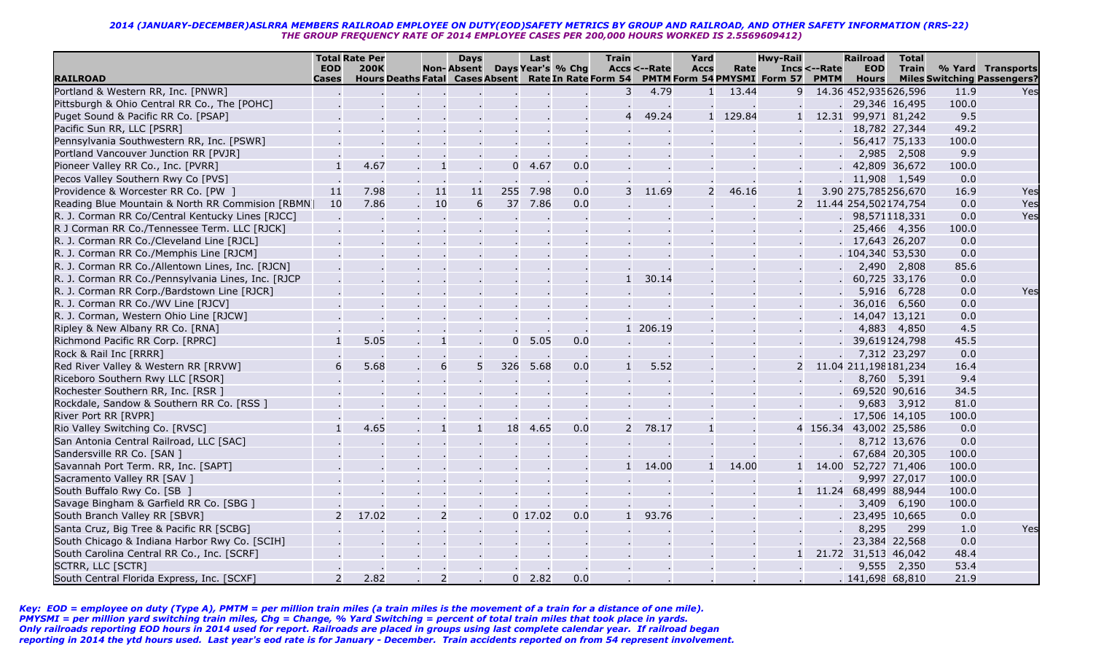| Days Year's % Chg<br><b>EOD</b><br><b>200K</b><br><b>Non-Absent</b><br><b>Accs &lt;--Rate</b><br>Incs <--Rate<br><b>EOD</b><br><b>Train</b><br>% Yard Transports<br><b>Accs</b><br>Rate<br>Hours Deaths Fatal Cases Absent Rate In Rate Form 54<br>PMTM Form 54 PMYSMI Form 57<br><b>RAILROAD</b><br><b>PMTM</b><br><b>Miles Switching Passengers?</b><br><b>Cases</b><br><b>Hours</b><br>Portland & Western RR, Inc. [PNWR]<br>4.79<br>14.36 452,935626,596<br>3<br>13.44<br>9<br>11.9<br>$\mathbf{1}$<br>Pittsburgh & Ohio Central RR Co., The [POHC]<br>29,346 16,495<br>100.0<br>9.5<br>49.24<br>1 129.84<br>Puget Sound & Pacific RR Co. [PSAP]<br>1 12.31 99,971 81,242<br>49.2<br>Pacific Sun RR, LLC [PSRR]<br>18,782 27,344 |     |
|--------------------------------------------------------------------------------------------------------------------------------------------------------------------------------------------------------------------------------------------------------------------------------------------------------------------------------------------------------------------------------------------------------------------------------------------------------------------------------------------------------------------------------------------------------------------------------------------------------------------------------------------------------------------------------------------------------------------------------------|-----|
|                                                                                                                                                                                                                                                                                                                                                                                                                                                                                                                                                                                                                                                                                                                                      |     |
|                                                                                                                                                                                                                                                                                                                                                                                                                                                                                                                                                                                                                                                                                                                                      |     |
|                                                                                                                                                                                                                                                                                                                                                                                                                                                                                                                                                                                                                                                                                                                                      | Yes |
|                                                                                                                                                                                                                                                                                                                                                                                                                                                                                                                                                                                                                                                                                                                                      |     |
|                                                                                                                                                                                                                                                                                                                                                                                                                                                                                                                                                                                                                                                                                                                                      |     |
|                                                                                                                                                                                                                                                                                                                                                                                                                                                                                                                                                                                                                                                                                                                                      |     |
| Pennsylvania Southwestern RR, Inc. [PSWR]<br>56,417 75,133<br>100.0                                                                                                                                                                                                                                                                                                                                                                                                                                                                                                                                                                                                                                                                  |     |
| Portland Vancouver Junction RR [PVJR]<br>2,985<br>2,508<br>9.9                                                                                                                                                                                                                                                                                                                                                                                                                                                                                                                                                                                                                                                                       |     |
| 4.67<br>4.67<br>42,809 36,672<br>Pioneer Valley RR Co., Inc. [PVRR]<br>$\mathbf{1}$<br>0.0<br>100.0<br>$0^{\circ}$                                                                                                                                                                                                                                                                                                                                                                                                                                                                                                                                                                                                                   |     |
| 0.0<br>Pecos Valley Southern Rwy Co [PVS]<br>11,908 1,549                                                                                                                                                                                                                                                                                                                                                                                                                                                                                                                                                                                                                                                                            |     |
| Providence & Worcester RR Co. [PW ]<br>11<br>7.98<br>-11<br>11<br>255<br>7.98<br>0.0<br>11.69<br>46.16<br>3.90 275,785256,670<br>16.9<br>$\mathbf{1}$                                                                                                                                                                                                                                                                                                                                                                                                                                                                                                                                                                                | Yes |
| 37<br>7.86<br>Reading Blue Mountain & North RR Commision [RBMN]<br>10<br>7.86<br>-10<br>6<br>0.0<br>0.0<br>11.44 254,502174,754                                                                                                                                                                                                                                                                                                                                                                                                                                                                                                                                                                                                      | Yes |
| 0.0<br>R. J. Corman RR Co/Central Kentucky Lines [RJCC]<br>98,571118,331                                                                                                                                                                                                                                                                                                                                                                                                                                                                                                                                                                                                                                                             | Yes |
| R J Corman RR Co./Tennessee Term. LLC [RJCK]<br>25,466 4,356<br>100.0                                                                                                                                                                                                                                                                                                                                                                                                                                                                                                                                                                                                                                                                |     |
| R. J. Corman RR Co./Cleveland Line [RJCL]<br>17,643 26,207<br>0.0                                                                                                                                                                                                                                                                                                                                                                                                                                                                                                                                                                                                                                                                    |     |
| R. J. Corman RR Co./Memphis Line [RJCM]<br>. 104,340 53,530<br>0.0                                                                                                                                                                                                                                                                                                                                                                                                                                                                                                                                                                                                                                                                   |     |
| 85.6<br>R. J. Corman RR Co./Allentown Lines, Inc. [RJCN]<br>2,490<br>2,808                                                                                                                                                                                                                                                                                                                                                                                                                                                                                                                                                                                                                                                           |     |
| 30.14<br>0.0<br>R. J. Corman RR Co./Pennsylvania Lines, Inc. [RJCP<br>60,725 33,176                                                                                                                                                                                                                                                                                                                                                                                                                                                                                                                                                                                                                                                  |     |
| R. J. Corman RR Corp./Bardstown Line [RJCR]<br>0.0<br>5,916<br>6,728                                                                                                                                                                                                                                                                                                                                                                                                                                                                                                                                                                                                                                                                 | Yes |
| R. J. Corman RR Co./WV Line [RJCV]<br>36,016<br>6,560<br>0.0                                                                                                                                                                                                                                                                                                                                                                                                                                                                                                                                                                                                                                                                         |     |
| R. J. Corman, Western Ohio Line [RJCW]<br>0.0<br>14,047 13,121                                                                                                                                                                                                                                                                                                                                                                                                                                                                                                                                                                                                                                                                       |     |
| Ripley & New Albany RR Co. [RNA]<br>4.5<br>1 206.19<br>4,883<br>4,850                                                                                                                                                                                                                                                                                                                                                                                                                                                                                                                                                                                                                                                                |     |
| 5.05<br>5.05<br>0.0<br>39,619124,798<br>45.5<br>Richmond Pacific RR Corp. [RPRC]<br>$\Omega$                                                                                                                                                                                                                                                                                                                                                                                                                                                                                                                                                                                                                                         |     |
| Rock & Rail Inc [RRRR]<br>7,312 23,297<br>0.0                                                                                                                                                                                                                                                                                                                                                                                                                                                                                                                                                                                                                                                                                        |     |
| 5.68<br>6<br>5 <sup>1</sup><br>5.68<br>5.52<br>16.4<br>Red River Valley & Western RR [RRVW]<br>326<br>0.0<br>2<br>11.04 211,198181,234                                                                                                                                                                                                                                                                                                                                                                                                                                                                                                                                                                                               |     |
| 9.4<br>Riceboro Southern Rwy LLC [RSOR]<br>8,760 5,391                                                                                                                                                                                                                                                                                                                                                                                                                                                                                                                                                                                                                                                                               |     |
| 34.5<br>69,520 90,616<br>Rochester Southern RR, Inc. [RSR ]                                                                                                                                                                                                                                                                                                                                                                                                                                                                                                                                                                                                                                                                          |     |
| 81.0<br>Rockdale, Sandow & Southern RR Co. [RSS ]<br>9,683<br>3,912                                                                                                                                                                                                                                                                                                                                                                                                                                                                                                                                                                                                                                                                  |     |
| River Port RR [RVPR]<br>17,506 14,105<br>100.0                                                                                                                                                                                                                                                                                                                                                                                                                                                                                                                                                                                                                                                                                       |     |
| 4.65<br>4.65<br>0.0<br>78.17<br>0.0<br>Rio Valley Switching Co. [RVSC]<br>18<br>2<br>4 156.34 43,002 25,586                                                                                                                                                                                                                                                                                                                                                                                                                                                                                                                                                                                                                          |     |
| 0.0<br>San Antonia Central Railroad, LLC [SAC]<br>8,712 13,676                                                                                                                                                                                                                                                                                                                                                                                                                                                                                                                                                                                                                                                                       |     |
| Sandersville RR Co. [SAN ]<br>67,684 20,305<br>100.0                                                                                                                                                                                                                                                                                                                                                                                                                                                                                                                                                                                                                                                                                 |     |
| Savannah Port Term. RR, Inc. [SAPT]<br>14.00<br>14.00<br>$\mathbf{1}$<br>14.00<br>52,727 71,406<br>100.0                                                                                                                                                                                                                                                                                                                                                                                                                                                                                                                                                                                                                             |     |
| Sacramento Valley RR [SAV ]<br>9,997 27,017<br>100.0                                                                                                                                                                                                                                                                                                                                                                                                                                                                                                                                                                                                                                                                                 |     |
| South Buffalo Rwy Co. [SB ]<br>11.24<br>68,499 88,944<br>100.0<br>$\mathbf{1}$                                                                                                                                                                                                                                                                                                                                                                                                                                                                                                                                                                                                                                                       |     |
| Savage Bingham & Garfield RR Co. [SBG ]<br>3,409<br>100.0<br>6,190                                                                                                                                                                                                                                                                                                                                                                                                                                                                                                                                                                                                                                                                   |     |
| 17.02<br>$\overline{2}$<br>$0$ 17.02<br>0.0<br>93.76<br>0.0<br>South Branch Valley RR [SBVR]<br>23,495 10,665                                                                                                                                                                                                                                                                                                                                                                                                                                                                                                                                                                                                                        |     |
| 8,295<br>1.0<br>Santa Cruz, Big Tree & Pacific RR [SCBG]<br>299                                                                                                                                                                                                                                                                                                                                                                                                                                                                                                                                                                                                                                                                      | Yes |
| 23,384 22,568<br>0.0<br>South Chicago & Indiana Harbor Rwy Co. [SCIH]                                                                                                                                                                                                                                                                                                                                                                                                                                                                                                                                                                                                                                                                |     |
| South Carolina Central RR Co., Inc. [SCRF]<br>21.72 31,513 46,042<br>48.4                                                                                                                                                                                                                                                                                                                                                                                                                                                                                                                                                                                                                                                            |     |
| SCTRR, LLC [SCTR]<br>53.4<br>9,555 2,350                                                                                                                                                                                                                                                                                                                                                                                                                                                                                                                                                                                                                                                                                             |     |
| 2.82<br>$\overline{2}$<br>$0$ 2.82<br>0.0<br>. 141,698 68,810<br>21.9<br>South Central Florida Express, Inc. [SCXF]                                                                                                                                                                                                                                                                                                                                                                                                                                                                                                                                                                                                                  |     |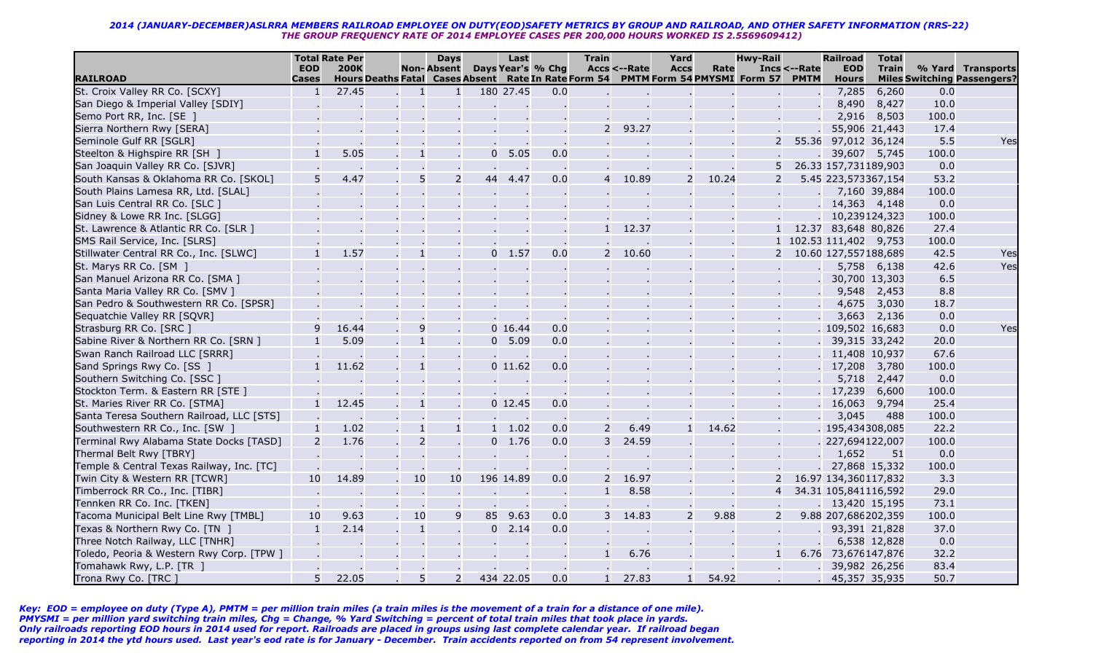|                                                   |                                | <b>Total Rate Per</b>                                                                          |                | <b>Days</b>       |                | Last      |                         | <b>Train</b>   |              | Yard          |       | <b>Hwy-Rail</b> |                        | <b>Railroad</b>       | <b>Total</b>  |       |                                    |
|---------------------------------------------------|--------------------------------|------------------------------------------------------------------------------------------------|----------------|-------------------|----------------|-----------|-------------------------|----------------|--------------|---------------|-------|-----------------|------------------------|-----------------------|---------------|-------|------------------------------------|
|                                                   | <b>EOD</b>                     | <b>200K</b>                                                                                    |                | <b>Non-Absent</b> |                |           | Days Year's % Chg       |                | Accs <--Rate | <b>Accs</b>   | Rate  |                 | <b>Incs &lt;--Rate</b> | <b>EOD</b>            | <b>Train</b>  |       | % Yard Transports                  |
| <b>RAILROAD</b><br>St. Croix Valley RR Co. [SCXY] | <b>Cases</b><br>$\overline{1}$ | Hours Deaths Fatal Cases Absent Rate In Rate Form 54 PMTM Form 54 PMYSMI Form 57 PMTM<br>27.45 | $\mathbf{1}$   | $\mathbf{1}$      |                | 180 27.45 | 0.0                     |                |              |               |       |                 |                        | <b>Hours</b><br>7,285 | 6,260         | 0.0   | <b>Miles Switching Passengers?</b> |
| San Diego & Imperial Valley [SDIY]                |                                |                                                                                                |                |                   |                |           |                         |                |              |               |       |                 |                        | 8,490                 | 8,427         | 10.0  |                                    |
| Semo Port RR, Inc. [SE ]                          |                                |                                                                                                |                |                   |                |           |                         |                |              |               |       |                 |                        | 2,916                 | 8,503         | 100.0 |                                    |
| Sierra Northern Rwy [SERA]                        |                                |                                                                                                |                |                   |                |           |                         | $\mathcal{P}$  | 93.27        |               |       |                 |                        |                       | 55,906 21,443 | 17.4  |                                    |
| Seminole Gulf RR [SGLR]                           |                                |                                                                                                |                |                   |                |           |                         |                |              |               |       | 2               |                        | 55.36 97,012 36,124   |               | 5.5   | Yes                                |
| Steelton & Highspire RR [SH ]                     |                                | 5.05                                                                                           | $\mathbf{1}$   |                   | $\overline{0}$ | 5.05      | 0.0                     |                |              |               |       |                 |                        | 39,607 5,745          |               | 100.0 |                                    |
| San Joaquin Valley RR Co. [SJVR]                  |                                |                                                                                                |                |                   |                |           |                         |                |              |               |       | 5               |                        | 26.33 157,731189,903  |               | 0.0   |                                    |
| South Kansas & Oklahoma RR Co. [SKOL]             | 5                              | 4.47                                                                                           | 5              | $\overline{2}$    | 44             | 4.47      | $\sim$ 100 $\pm$<br>0.0 | 4              | 10.89        | $\mathcal{P}$ | 10.24 | 2               |                        | 5.45 223,573367,154   |               | 53.2  |                                    |
| South Plains Lamesa RR, Ltd. [SLAL]               |                                |                                                                                                |                |                   |                |           |                         |                |              |               |       |                 |                        |                       | 7,160 39,884  | 100.0 |                                    |
| San Luis Central RR Co. [SLC ]                    |                                |                                                                                                |                |                   |                |           |                         |                |              |               |       |                 |                        | 14,363 4,148          |               | 0.0   |                                    |
| Sidney & Lowe RR Inc. [SLGG]                      |                                |                                                                                                |                |                   |                |           |                         |                |              |               |       |                 |                        | 10,239124,323         |               | 100.0 |                                    |
| St. Lawrence & Atlantic RR Co. [SLR ]             |                                |                                                                                                |                |                   |                |           |                         | $\mathbf{1}$   | 12.37        |               |       |                 |                        | 12.37 83,648 80,826   |               | 27.4  |                                    |
| SMS Rail Service, Inc. [SLRS]                     |                                |                                                                                                |                |                   |                |           |                         |                |              |               |       |                 |                        | 102.53 111,402 9,753  |               | 100.0 |                                    |
| Stillwater Central RR Co., Inc. [SLWC]            |                                | 1.57                                                                                           | $\mathbf{1}$   |                   | $\Omega$       | 1.57      | 0.0                     | $\overline{2}$ | 10.60        |               |       |                 |                        | 10.60 127,557188,689  |               | 42.5  | Yes                                |
| St. Marys RR Co. [SM ]                            |                                |                                                                                                |                |                   |                |           |                         |                |              |               |       |                 |                        |                       | 5,758 6,138   | 42.6  | Yes                                |
| San Manuel Arizona RR Co. [SMA ]                  |                                |                                                                                                |                |                   |                |           |                         |                |              |               |       |                 |                        |                       | 30,700 13,303 | 6.5   |                                    |
| Santa Maria Valley RR Co. [SMV ]                  |                                |                                                                                                |                |                   |                |           |                         |                |              |               |       |                 |                        | 9,548                 | 2,453         | 8.8   |                                    |
| San Pedro & Southwestern RR Co. [SPSR]            |                                |                                                                                                |                |                   |                |           |                         |                |              |               |       |                 |                        | 4,675                 | 3,030         | 18.7  |                                    |
| Sequatchie Valley RR [SQVR]                       |                                |                                                                                                |                |                   |                |           |                         |                |              |               |       |                 |                        | 3,663                 | 2,136         | 0.0   |                                    |
| Strasburg RR Co. [SRC ]                           | 9                              | 16.44                                                                                          | 9              |                   |                | 0 16.44   | 0.0                     |                |              |               |       |                 |                        | . 109,502 16,683      |               | 0.0   | Yes                                |
| Sabine River & Northern RR Co. [SRN ]             |                                | 5.09                                                                                           | $\mathbf{1}$   |                   | $\Omega$       | 5.09      | 0.0                     |                |              |               |       |                 |                        | 39,315 33,242         |               | 20.0  |                                    |
| Swan Ranch Railroad LLC [SRRR]                    |                                |                                                                                                |                |                   |                | $\sim$    | $\sim$ 10 $\pm$         |                |              |               |       |                 |                        | 11,408 10,937         |               | 67.6  |                                    |
| Sand Springs Rwy Co. [SS ]                        | $\mathbf{1}$                   | 11.62                                                                                          | $\mathbf{1}$   |                   |                | $0$ 11.62 | 0.0                     |                |              |               |       |                 |                        | 17,208                | 3,780         | 100.0 |                                    |
| Southern Switching Co. [SSC ]                     |                                |                                                                                                |                |                   |                |           |                         |                |              |               |       |                 |                        | 5,718                 | 2,447         | 0.0   |                                    |
| Stockton Term. & Eastern RR [STE ]                |                                |                                                                                                |                |                   |                |           |                         |                |              |               |       |                 |                        | 17,239                | 6,600         | 100.0 |                                    |
| St. Maries River RR Co. [STMA]                    | $\mathbf{1}$                   | 12.45                                                                                          | $\mathbf{1}$   |                   |                | $0$ 12.45 | 0.0                     |                |              |               |       |                 |                        | 16,063                | 9,794         | 25.4  |                                    |
| Santa Teresa Southern Railroad, LLC [STS]         |                                |                                                                                                |                |                   |                |           | $\sim 100$              |                |              |               |       |                 |                        | 3,045                 | 488           | 100.0 |                                    |
| Southwestern RR Co., Inc. [SW ]                   | $\mathbf{1}$                   | 1.02                                                                                           | $\mathbf{1}$   | $\mathbf{1}$      | $\blacksquare$ | 1.02      | 0.0                     | 2              | 6.49         | $\mathbf{1}$  | 14.62 |                 |                        | . 195,434308,085      |               | 22.2  |                                    |
| Terminal Rwy Alabama State Docks [TASD]           | $\overline{2}$                 | 1.76                                                                                           | $\overline{2}$ |                   | $\overline{0}$ | 1.76      | 0.0                     | 3              | 24.59        |               |       |                 |                        | 227,694122,007        |               | 100.0 |                                    |
| Thermal Belt Rwy [TBRY]                           |                                |                                                                                                |                |                   |                |           | $\sim$ 100 $\pm$        |                |              |               |       |                 |                        | 1,652                 | 51            | 0.0   |                                    |
| Temple & Central Texas Railway, Inc. [TC]         |                                |                                                                                                |                |                   |                |           |                         |                |              |               |       |                 |                        | 27,868 15,332         |               | 100.0 |                                    |
| Twin City & Western RR [TCWR]                     | 10                             | 14.89                                                                                          | 10             | 10                |                | 196 14.89 | 0.0                     | $\mathcal{P}$  | 16.97        |               |       |                 |                        | 16.97 134,360117,832  |               | 3.3   |                                    |
| Timberrock RR Co., Inc. [TIBR]                    |                                |                                                                                                |                |                   |                |           | $\sim$ $\sim$           | $\mathbf{1}$   | 8.58         |               |       | $\overline{4}$  |                        | 34.31 105,841116,592  |               | 29.0  |                                    |
| Tennken RR Co. Inc. [TKEN]                        |                                |                                                                                                |                |                   |                |           | $\sim$ 100 $\pm$        |                |              |               |       |                 |                        | 13,420 15,195         |               | 73.1  |                                    |
| Tacoma Municipal Belt Line Rwy [TMBL]             | 10                             | 9.63                                                                                           | 10             | 9                 | 85             | 9.63      | 0.0                     | 3              | 14.83        | 2             | 9.88  |                 |                        | 9.88 207,686202,359   |               | 100.0 |                                    |
| Texas & Northern Rwy Co. [TN ]                    | $\mathbf{1}$                   | 2.14                                                                                           | $\mathbf{1}$   |                   | $\overline{0}$ | 2.14      | 0.0                     |                |              |               |       |                 |                        | 93,391 21,828         |               | 37.0  |                                    |
| Three Notch Railway, LLC [TNHR]                   |                                |                                                                                                |                |                   |                |           |                         |                |              |               |       |                 |                        |                       | 6,538 12,828  | 0.0   |                                    |
| Toledo, Peoria & Western Rwy Corp. [TPW ]         |                                |                                                                                                |                |                   |                |           |                         | $\mathbf{1}$   | 6.76         |               |       |                 |                        | 6.76 73,676147,876    |               | 32.2  |                                    |
| Tomahawk Rwy, L.P. [TR ]                          |                                |                                                                                                |                |                   |                |           |                         |                |              |               |       |                 |                        |                       | 39,982 26,256 | 83.4  |                                    |
| Trona Rwy Co. [TRC ]                              | 5 <sup>5</sup>                 | 22.05                                                                                          | 5              | $\overline{2}$    |                | 434 22.05 | 0.0                     | $\mathbf{1}$   | 27.83        |               | 54.92 |                 |                        | 45,357 35,935         |               | 50.7  |                                    |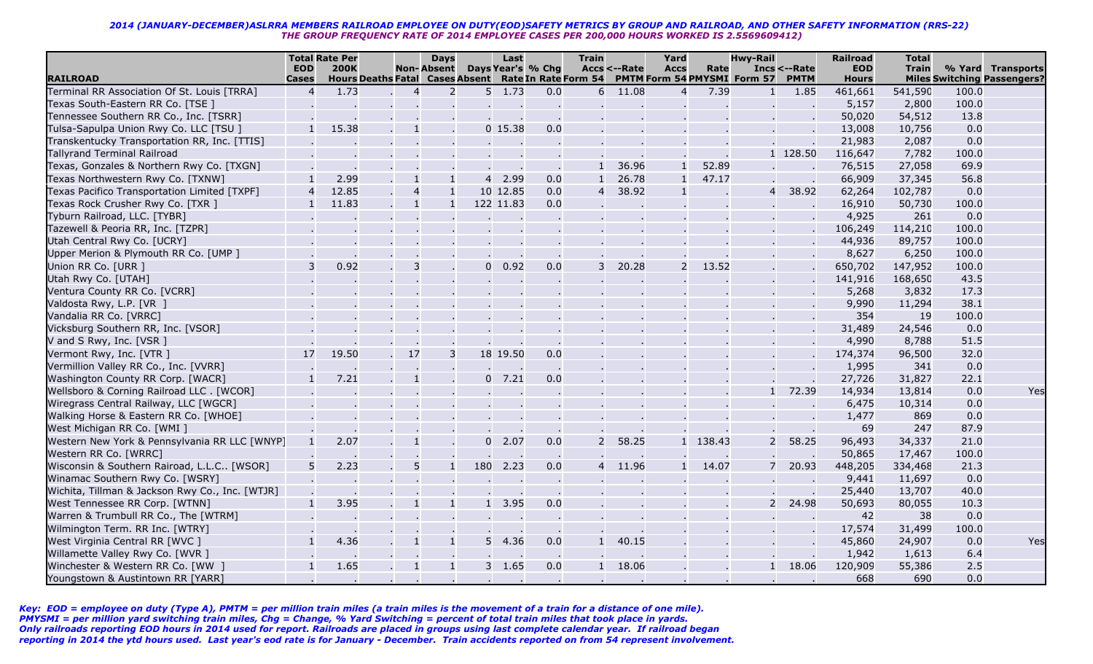|                                                 |                | <b>Total Rate Per</b> |                                                      | <b>Days</b>       |                | Last             |                   | <b>Train</b>   |              | Yard           |          | <b>Hwy-Rail</b>             |              | <b>Railroad</b> | <b>Total</b> |       |                                    |
|-------------------------------------------------|----------------|-----------------------|------------------------------------------------------|-------------------|----------------|------------------|-------------------|----------------|--------------|----------------|----------|-----------------------------|--------------|-----------------|--------------|-------|------------------------------------|
|                                                 | <b>EOD</b>     | <b>200K</b>           |                                                      | <b>Non-Absent</b> |                |                  | Days Year's % Chg |                | Accs <--Rate | <b>Accs</b>    | Rate     |                             | Incs <--Rate | <b>EOD</b>      | <b>Train</b> |       | % Yard Transports                  |
| <b>RAILROAD</b>                                 | <b>Cases</b>   |                       | Hours Deaths Fatal Cases Absent Rate In Rate Form 54 |                   |                |                  |                   |                |              |                |          | PMTM Form 54 PMYSMI Form 57 | <b>PMTM</b>  | <b>Hours</b>    |              |       | <b>Miles Switching Passengers?</b> |
| Terminal RR Association Of St. Louis [TRRA]     | $\overline{4}$ | 1.73                  | $\overline{4}$                                       | $\overline{2}$    |                | $5 \quad 1.73$   | 0.0               | 6              | 11.08        | $\overline{4}$ | 7.39     | -1                          | 1.85         | 461,661         | 541,590      | 100.0 |                                    |
| Texas South-Eastern RR Co. [TSE ]               |                |                       |                                                      |                   |                | $\sim$           |                   |                |              |                |          |                             |              | 5,157           | 2,800        | 100.0 |                                    |
| Tennessee Southern RR Co., Inc. [TSRR]          |                |                       |                                                      |                   |                |                  |                   |                |              |                |          |                             |              | 50,020          | 54,512       | 13.8  |                                    |
| Tulsa-Sapulpa Union Rwy Co. LLC [TSU ]          |                | 15.38                 |                                                      |                   |                | $0$ 15.38        | 0.0               |                |              |                |          |                             |              | 13,008          | 10,756       | 0.0   |                                    |
| Transkentucky Transportation RR, Inc. [TTIS]    |                |                       |                                                      |                   |                |                  |                   |                |              |                |          |                             |              | 21,983          | 2,087        | 0.0   |                                    |
| <b>Tallyrand Terminal Railroad</b>              |                |                       |                                                      |                   |                |                  |                   |                |              |                |          |                             | 1 128.50     | 116,647         | 7,782        | 100.0 |                                    |
| Texas, Gonzales & Northern Rwy Co. [TXGN]       |                |                       |                                                      |                   |                | $\sim$           |                   | $\mathbf{1}$   | 36.96        |                | 52.89    |                             |              | 76,515          | 27,058       | 69.9  |                                    |
| Texas Northwestern Rwy Co. [TXNW]               |                | 2.99                  |                                                      | $\mathbf{1}$      | $\overline{4}$ | 2.99             | 0.0               | $\mathbf{1}$   | 26.78        |                | 47.17    |                             |              | 66,909          | 37,345       | 56.8  |                                    |
| Texas Pacifico Transportation Limited [TXPF]    | 4              | 12.85                 | $\overline{4}$                                       | $\mathbf{1}$      |                | 10 12.85         | 0.0               | $\overline{4}$ | 38.92        |                |          | $\overline{4}$              | 38.92        | 62,264          | 102,787      | 0.0   |                                    |
| Texas Rock Crusher Rwy Co. [TXR ]               |                | 11.83                 |                                                      | $\mathbf{1}$      |                | 122 11.83        | 0.0               |                |              |                |          |                             |              | 16,910          | 50,730       | 100.0 |                                    |
| Tyburn Railroad, LLC. [TYBR]                    |                |                       |                                                      |                   |                |                  |                   |                |              |                |          |                             |              | 4,925           | 261          | 0.0   |                                    |
| Tazewell & Peoria RR, Inc. [TZPR]               |                |                       |                                                      |                   |                |                  |                   |                |              |                |          |                             |              | 106,249         | 114,210      | 100.0 |                                    |
| Utah Central Rwy Co. [UCRY]                     |                |                       |                                                      |                   |                |                  |                   |                |              |                |          |                             |              | 44,936          | 89,757       | 100.0 |                                    |
| Upper Merion & Plymouth RR Co. [UMP ]           |                |                       |                                                      |                   |                |                  |                   |                |              |                |          |                             |              | 8,627           | 6,250        | 100.0 |                                    |
| Union RR Co. [URR ]                             | 3              | 0.92                  | 3                                                    |                   | $\mathbf{0}$   | 0.92             | 0.0               | 3              | 20.28        | 2              | 13.52    |                             |              | 650,702         | 147,952      | 100.0 |                                    |
| Utah Rwy Co. [UTAH]                             |                |                       |                                                      |                   |                |                  |                   |                |              |                |          |                             |              | 141,916         | 168,650      | 43.5  |                                    |
| Ventura County RR Co. [VCRR]                    |                |                       |                                                      |                   |                |                  |                   |                |              |                |          |                             |              | 5,268           | 3,832        | 17.3  |                                    |
| Valdosta Rwy, L.P. [VR ]                        |                |                       |                                                      |                   |                |                  |                   |                |              |                |          |                             |              | 9,990           | 11,294       | 38.1  |                                    |
| Vandalia RR Co. [VRRC]                          |                |                       |                                                      |                   |                |                  |                   |                |              |                |          |                             |              | 354             | 19           | 100.0 |                                    |
| Vicksburg Southern RR, Inc. [VSOR]              |                |                       |                                                      |                   |                |                  |                   |                |              |                |          |                             |              | 31,489          | 24,546       | 0.0   |                                    |
| V and S Rwy, Inc. [VSR ]                        |                |                       |                                                      |                   |                |                  |                   |                |              |                |          |                             |              | 4,990           | 8,788        | 51.5  |                                    |
| Vermont Rwy, Inc. [VTR ]                        | 17             | 19.50                 | 17                                                   | 3                 |                | 18 19.50         | 0.0               |                |              |                |          |                             |              | 174,374         | 96,500       | 32.0  |                                    |
| Vermillion Valley RR Co., Inc. [VVRR]           |                |                       |                                                      |                   |                |                  |                   |                |              |                |          |                             |              | 1,995           | 341          | 0.0   |                                    |
| Washington County RR Corp. [WACR]               |                | 7.21                  |                                                      |                   |                | $0$ 7.21         | 0.0               |                |              |                |          |                             |              | 27,726          | 31,827       | 22.1  |                                    |
| Wellsboro & Corning Railroad LLC. [WCOR]        |                |                       |                                                      |                   |                |                  |                   |                |              |                |          | $\mathbf{1}$                | 72.39        | 14,934          | 13,814       | 0.0   | Yes                                |
| Wiregrass Central Railway, LLC [WGCR]           |                |                       |                                                      |                   |                |                  |                   |                |              |                |          |                             |              | 6,475           | 10,314       | 0.0   |                                    |
| Walking Horse & Eastern RR Co. [WHOE]           |                |                       |                                                      |                   |                |                  |                   |                |              |                |          |                             |              | 1,477           | 869          | 0.0   |                                    |
| West Michigan RR Co. [WMI ]                     |                |                       |                                                      |                   |                |                  |                   |                |              |                |          |                             |              | 69              | 247          | 87.9  |                                    |
| Western New York & Pennsylvania RR LLC [WNYP]   |                | 2.07                  |                                                      |                   | $\overline{0}$ | 2.07             | 0.0               | 2              | 58.25        |                | 1 138.43 | $\overline{2}$              | 58.25        | 96,493          | 34,337       | 21.0  |                                    |
| Western RR Co. [WRRC]                           |                |                       |                                                      |                   |                |                  |                   |                |              |                |          |                             |              | 50,865          | 17,467       | 100.0 |                                    |
| Wisconsin & Southern Rairoad, L.L.C [WSOR]      |                | 2.23                  | 5                                                    |                   | 180            | 2.23             | 0.0               | $\overline{4}$ | 11.96        |                | 14.07    |                             | 20.93        | 448,205         | 334,468      | 21.3  |                                    |
| Winamac Southern Rwy Co. [WSRY]                 |                |                       |                                                      |                   |                |                  |                   |                |              |                |          |                             |              | 9,441           | 11,697       | 0.0   |                                    |
| Wichita, Tillman & Jackson Rwy Co., Inc. [WTJR] |                |                       |                                                      |                   |                |                  |                   |                |              |                |          |                             |              | 25,440          | 13,707       | 40.0  |                                    |
| West Tennessee RR Corp. [WTNN]                  |                | 3.95                  |                                                      | $\mathbf{1}$      | 1              | 3.95             | 0.0               |                |              |                |          | $\overline{2}$              | 24.98        | 50,693          | 80,055       | 10.3  |                                    |
| Warren & Trumbull RR Co., The [WTRM]            |                |                       |                                                      |                   |                |                  |                   |                |              |                |          |                             |              | 42              | 38           | 0.0   |                                    |
| Wilmington Term. RR Inc. [WTRY]                 |                |                       |                                                      |                   |                |                  |                   |                |              |                |          |                             |              | 17,574          | 31,499       | 100.0 |                                    |
| West Virginia Central RR [WVC ]                 |                | 4.36                  |                                                      |                   | 5              | 4.36             | 0.0               |                | 40.15        |                |          |                             |              | 45,860          | 24,907       | 0.0   | Yes                                |
| Willamette Valley Rwy Co. [WVR ]                |                |                       |                                                      |                   |                |                  |                   |                |              |                |          |                             |              | 1,942           | 1,613        | 6.4   |                                    |
| Winchester & Western RR Co. [WW]                |                | 1.65                  |                                                      |                   |                | 3 1.65           | 0.0               | $\mathbf{1}$   | 18.06        |                |          |                             | 18.06        | 120,909         | 55,386       | 2.5   |                                    |
| Youngstown & Austintown RR [YARR]               |                |                       |                                                      |                   |                | $\sim$ 100 $\pm$ |                   |                |              |                |          |                             |              | 668             | 690          | 0.0   |                                    |